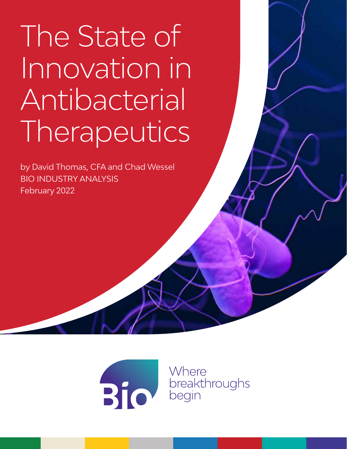# The State of Innovation in Antibacterial Therapeutics

by David Thomas, CFA and Chad Wessel BIO INDUSTRY ANALYSIS February 2022



Where breakthroughs<br>begin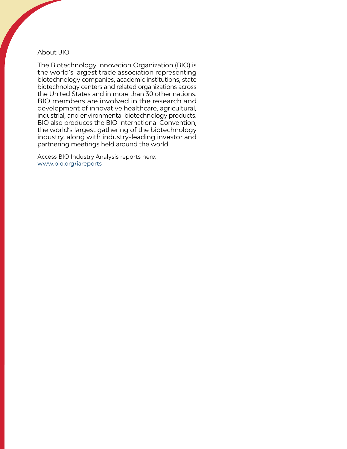#### About BIO

The Biotechnology Innovation Organization (BIO) is the world's largest trade association representing biotechnology companies, academic institutions, state biotechnology centers and related organizations across the United States and in more than 30 other nations. BIO members are involved in the research and development of innovative healthcare, agricultural, industrial, and environmental biotechnology products. BIO also produces the BIO International Convention, the world's largest gathering of the biotechnology industry, along with industry-leading investor and partnering meetings held around the world.

Access BIO Industry Analysis reports here: [www.bio.org/iareports](http://www.bio.org/iareports)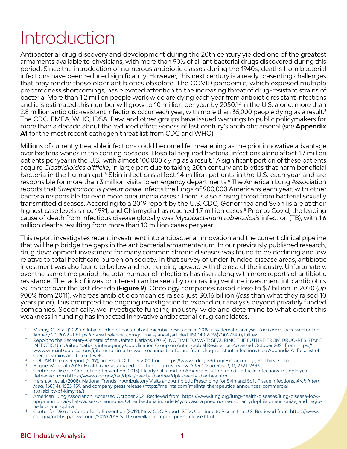# Introduction

Antibacterial drug discovery and development during the 20th century yielded one of the greatest armaments available to physicians, with more than 90% of all antibacterial drugs discovered during this period. Since the introduction of numerous antibiotic classes during the 1940s, deaths from bacterial infections have been reduced significantly. However, this next century is already presenting challenges that may render these older antibiotics obsolete. The COVID pandemic, which exposed multiple preparedness shortcomings, has elevated attention to the increasing threat of drug-resistant strains of bacteria. More than 1.2 million people worldwide are dying each year from antibiotic resistant infections and it is estimated this number will grow to 10 million per year by 2050.12 In the U.S. alone, more than 2.8 million antibiotic-resistant infections occur each year, with more than 35,000 people dying as a result.<sup>3</sup> The CDC, EMEA, WHO, IDSA, Pew, and other groups have issued warnings to public policymakers for more than a decade about the reduced effectiveness of last century's antibiotic arsenal (see **Appendix A1** for the most recent pathogen threat list from CDC and WHO).

Millions of currently treatable infections could become life threatening as the prior innovative advantage over bacteria wanes in the coming decades. Hospital acquired bacterial infections alone affect 1.7 million patients per year in the U.S., with almost 100,000 dying as a result.4 A significant portion of these patients acquire *Clostridioides difficile*, in large part due to taking 20th century antibiotics that harm beneficial bacteria in the human gut.<sup>5</sup> Skin infections affect 14 million patients in the U.S. each year and are responsible for more than 3 million visits to emergency departments.6 The American Lung Association reports that *Streptococcus pneumoniae* infects the lungs of 900,000 Americans each year, with other bacteria responsible for even more pneumonia cases.7 There is also a rising threat from bacterial sexually transmitted diseases. According to a 2019 report by the U.S. CDC, Gonorrhea and Syphilis are at their highest case levels since 1991, and Chlamydia has reached 1.7 million cases.<sup>8</sup> Prior to Covid, the leading cause of death from infectious disease globally was *Mycobacterium tuberculosis* infection (TB), with 1.6 million deaths resulting from more than 10 million cases per year.

This report investigates recent investment into antibacterial innovation and the current clinical pipeline that will help bridge the gaps in the antibacterial armamentarium. In our previously published research, drug development investment for many common chronic diseases was found to be declining and low relative to total healthcare burden on society. In that survey of under-funded disease areas, antibiotic investment was also found to be low and not trending upward with the rest of the industry. Unfortunately, over the same time period the total number of infections has risen along with more reports of antibiotic resistance. The lack of investor interest can be seen by contrasting venture investment into antibiotics vs. cancer over the last decade (**Figure 9**). Oncology companies raised close to \$7 billion in 2020 (*up* 900% from 2011), whereas antibiotic companies raised just \$0.16 billion (*less* than what they raised 10 years prior). This prompted the ongoing investigation to expand our analysis beyond privately funded companies. Specifically, we investigate funding industry-wide and determine to what extent this weakness in funding has impacted innovative antibacterial drug candidates.

- 1 Murray, C. et al. (2022). Global burden of bacterial antimicrobial resistance in 2019: a systematic analysis. *The Lance*t, accessed online
- January 20, 2022 at https://www.thelancet.com/journals/lancet/article/PIIS0140-6736(21)02724-0/fulltext<br>Report to the Secretary-General of the United Nations. (2019). NO TIME TO WAIT: SECURING THE FUTURE FROM DRUG-RESISTAN INFECTIONS. United Nations interagency Coordination Group on Antimicrobial Resistance. Accessed October 2021 from https:// www.who.int/publications/i/item/no-time-to-wait-securing-the-future-from-drug-resistant-infections (see Appendix A1 for a list of specific strains and threat levels.)
- <sup>3</sup> CDC AR Threats Report (2019), accessed October 2021 from: https://www.cdc.gov/drugresistance/biggest-threats.html<br><sup>4</sup> Hague, M., et al. (2018). Health care-associated infections an overview. *Infect Drug Resist*, 11,

Center for Disease Control and Prevention (2015). Nearly half a million Americans suffer from C. difficile infections in single year. Retrieved from https://www.cdc.gov/hai/dpks/deadly-diarrhea/dpk-deadly-diarrhea.html

- 6 Hersh, A., et al. (2008). National Trends in Ambulatory Visits and Antibiotic Prescribing for Skin and Soft-Tissue Infections. *Arch Intern Med*, 168(14), 1585-159. and company press release (https://melinta.com/melinta-therapeutics-announces-commercialavailability-of-kimyrsa/)
- <sup>7</sup> American Lung Association. Accessed October 2021 Retrieved from: [https://www.lung.org/lung-health-diseases/lung-disease-look](https://www.lung.org/lung-health-diseases/lung-disease-lookup/pneumonia/what-causes-pneumonia)[up/pneumonia/what-causes-pneumonia.](https://www.lung.org/lung-health-diseases/lung-disease-lookup/pneumonia/what-causes-pneumonia) Other bacteria include Mycoplasma pneumoniae, Chlamydophila pneumoniae, and Legionella pneumophila,

8 Center for Disease Control and Prevention (2019). New CDC Report: STDs Continue to Rise in the U.S. Retrieved from: https://www. cdc.gov/nchhstp/newsroom/2019/2018-STD-surveillance-report-press-release.html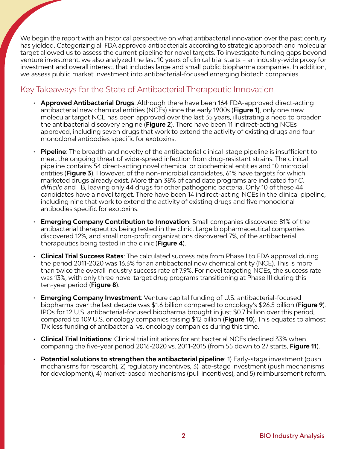We begin the report with an historical perspective on what antibacterial innovation over the past century has yielded. Categorizing all FDA approved antibacterials according to strategic approach and molecular target allowed us to assess the current pipeline for novel targets. To investigate funding gaps beyond venture investment, we also analyzed the last 10 years of clinical trial starts – an industry-wide proxy for investment and overall interest, that includes large and small public biopharma companies. In addition, we assess public market investment into antibacterial-focused emerging biotech companies.

#### Key Takeaways for the State of Antibacterial Therapeutic Innovation

- **Approved Antibacterial Drugs**: Although there have been 164 FDA-approved direct-acting antibacterial new chemical entities (NCEs) since the early 1900s (**Figure 1)**, only one new molecular target NCE has been approved over the last 35 years, illustrating a need to broaden the antibacterial discovery engine (**Figure 2**). There have been 11 indirect-acting NCEs approved, including seven drugs that work to extend the activity of existing drugs and four monoclonal antibodies specific for exotoxins.
- **Pipeline**: The breadth and novelty of the antibacterial clinical-stage pipeline is insufficient to meet the ongoing threat of wide-spread infection from drug-resistant strains. The clinical pipeline contains 54 direct-acting novel chemical or biochemical entities and 10 microbial entities (**Figure 3**). However, of the non-microbial candidates, 61% have targets for which marketed drugs already exist. More than 38% of candidate programs are indicated for *C. difficile* and TB, leaving only 44 drugs for other pathogenic bacteria. Only 10 of these 44 candidates have a novel target. There have been 14 indirect-acting NCEs in the clinical pipeline, including nine that work to extend the activity of existing drugs and five monoclonal antibodies specific for exotoxins.
- **Emerging Company Contribution to Innovation**: Small companies discovered 81% of the antibacterial therapeutics being tested in the clinic. Large biopharmaceutical companies discovered 12%, and small non-profit organizations discovered 7%, of the antibacterial therapeutics being tested in the clinic (**Figure 4**).
- **Clinical Trial Success Rates**: The calculated success rate from Phase I to FDA approval during the period 2011-2020 was 16.3% for an antibacterial new chemical entity (NCE). This is more than twice the overall industry success rate of 7.9%. For novel targeting NCEs, the success rate was 13%, with only three novel target drug programs transitioning at Phase III during this ten-year period (**Figure 8**).
- **Emerging Company Investment**: Venture capital funding of U.S. antibacterial-focused biopharma over the last decade was \$1.6 billion compared to oncology's \$26.5 billion (**Figure 9**). IPOs for 12 U.S. antibacterial-focused biopharma brought in just \$0.7 billion over this period, compared to 109 U.S. oncology companies raising \$12 billion (**Figure 10**). This equates to almost 17x less funding of antibacterial vs. oncology companies during this time.
- **Clinical Trial Initiations**: Clinical trial initiations for antibacterial NCEs declined 33% when comparing the five-year period 2016-2020 vs. 2011-2015 (from 55 down to 27 starts, **Figure 11**).
- **Potential solutions to strengthen the antibacterial pipeline**: 1) Early-stage investment (push mechanisms for research), 2) regulatory incentives, 3) late-stage investment (push mechanisms for development), 4) market-based mechanisms (pull incentives), and 5) reimbursement reform.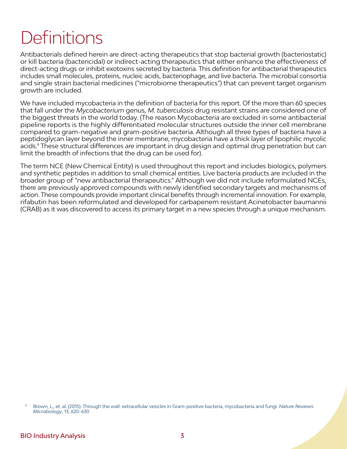# **Definitions**

Antibacterials defined herein are direct-acting therapeutics that stop bacterial growth (bacteriostatic) or kill bacteria (bactericidal) or indirect-acting therapeutics that either enhance the effectiveness of direct-acting drugs or inhibit exotoxins secreted by bacteria. This definition for antibacterial therapeutics includes small molecules, proteins, nucleic acids, bacteriophage, and live bacteria. The microbial consortia and single strain bacterial medicines ("microbiome therapeutics") that can prevent target organism growth are included.

We have included mycobacteria in the definition of bacteria for this report. Of the more than 60 species that fall under the *Mycobacterium* genus, *M. tuberculosis* drug resistant strains are considered one of the biggest threats in the world today. (The reason Mycobacteria are excluded in some antibacterial pipeline reports is the highly differentiated molecular structures outside the inner cell membrane compared to gram-negative and gram-positive bacteria. Although all three types of bacteria have a peptidoglycan layer beyond the inner membrane, mycobacteria have a thick layer of lipophilic mycolic acids.9 These structural differences are important in drug design and optimal drug penetration but can limit the breadth of infections that the drug can be used for).

The term NCE (New Chemical Entity) is used throughout this report and includes biologics, polymers and synthetic peptides in addition to small chemical entities. Live bacteria products are included in the broader group of "new antibacterial therapeutics." Although we did not include reformulated NCEs, there are previously approved compounds with newly identified secondary targets and mechanisms of action. These compounds provide important clinical benefits through incremental innovation. For example, rifabutin has been reformulated and developed for carbapenem resistant Acinetobacter baumannii (CRAB) as it was discovered to access its primary target in a new species through a unique mechanism.

<sup>9</sup> Brown, L., et. al. (2015). Through the wall: extracellular vesicles in Gram-positive bacteria, mycobacteria and fungi. *Nature Reviews Microbiology*, 13, 620–630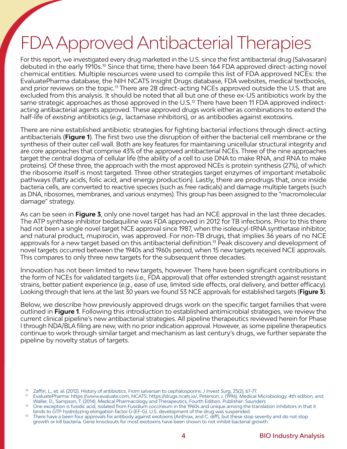# FDA Approved Antibacterial Therapies

For this report, we investigated every drug marketed in the U.S. since the first antibacterial drug (Salvasaran) debuted in the early 1910s.10 Since that time, there have been 164 FDA approved direct-acting novel chemical entities. Multiple resources were used to compile this list of FDA approved NCEs: the EvaluatePharma database, the NIH NCATS Insight Drugs database, FDA websites, medical textbooks, and prior reviews on the topic.<sup>11</sup> There are 28 direct-acting NCEs approved outside the U.S. that are excluded from this analysis. It should be noted that all but one of these ex-US antibiotics work by the same strategic approaches as those approved in the U.S.<sup>12</sup> There have been 11 FDA approved indirectacting antibacterial agents approved. These approved drugs work either as combinations to extend the half-life of *existing* antibiotics (*e.g.,* lactamase inhibitors), or as antibodies against exotoxins.

There are nine established antibiotic strategies for fighting bacterial infections through direct-acting antibacterials (**Figure 1**). The first two use the disruption of either the bacterial cell membrane or the synthesis of their outer cell wall. Both are key features for maintaining unicellular structural integrity and are core approaches that comprise 43% of the approved antibacterial NCEs. Three of the nine approaches target the central dogma of cellular life (the ability of a cell to use DNA to make RNA, and RNA to make proteins). Of these three, the approach with the most approved NCEs is protein synthesis (27%), of which the ribosome itself is most targeted. Three other strategies target enzymes of important metabolic pathways (fatty acids, folic acid, and energy production). Lastly, there are prodrugs that, once inside bacteria cells, are converted to reactive species (such as free radicals) and damage multiple targets (such as DNA, ribosomes, membranes, and various enzymes). This group has been assigned to the "macromolecular damage" strategy.

As can be seen in **Figure 3**, only one novel target has had an NCE approval in the last three decades. The ATP synthase inhibitor bedaquiline was FDA approved in 2012 for TB infections. Prior to this there had not been a single novel target NCE approval since 1987, when the isoleucyl-tRNA synthetase inhibitor, and natural product, mupirocin, was approved. For non-TB drugs, that implies 36 years of no NCE approvals for a new target based on this antibacterial definition.<sup>13</sup> Peak discovery and development of novel targets occurred between the 1940s and 1960s period, when 15 new targets received NCE approvals. This compares to only three new targets for the subsequent three decades.

Innovation has not been limited to new targets, however. There have been significant contributions in the form of NCEs for validated targets (*i.e.,* FDA approval) that offer extended strength against resistant strains, better patient experience (*e.g.*, ease of use, limited side effects, oral delivery, and better efficacy). Looking through that lens at the last 30 years we found 53 NCE approvals for established targets (**Figure 3**).

Below, we describe how previously approved drugs work on the specific target families that were outlined in **Figure 1**. Following this introduction to established antimicrobial strategies, we review the current clinical pipeline's new antibacterial strategies. All pipeline therapeutics reviewed herein for Phase I through NDA/BLA filing are new, with no prior indication approval. However, as some pipeline therapeutics continue to work through similar target and mechanism as last century's drugs, we further separate the pipeline by novelty status of targets.

<sup>10</sup> Zaffiri, L., et. al. (2012). History of antibiotics. From salvarsan to cephalosporins. *J Invest Surg*, 25(2), 67-77.

<sup>11</sup> EvaluatePharma: [https://www.evaluate.com,](https://www.evaluate.com) NCATS: [https://drugs.ncats.io/,](https://drugs.ncats.io/) Peterson, J. (1996). Medical Microbiology. 4th edition, and Waller, D., Sampson, T. (2014). Medical Pharmacology and Therapeutics, Fourth Edition. Publisher: Saunders

<sup>12</sup> One exception is fusidic acid, isolated from *Fusidium coccineum* in the 1960s and unique among the translation inhibitors in that it binds to GTP-hydrolyzing elongation factor G (EF-G). U.S. development of the drug was suspended.

<sup>&</sup>lt;sup>13</sup> There have a been four approvals for antibody against exotoxins (Anthrax, and C. diff), but these stop severity and do not stop growth or kill bacteria. Gene knockouts for most exotoxins have been shown to not inhibit bacterial growth.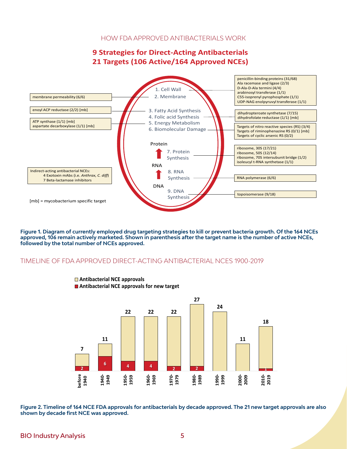#### HOW FDA APPROVED ANTIBACTERIALS WORK

#### **9 Strategies for Direct-Acting Antibacterials 21 Targets (106 Active/164 Approved NCEs)**



**Figure 1. Diagram of currently employed drug targeting strategies to kill or prevent bacteria growth. Of the 164 NCEs approved, 106 remain actively marketed. Shown in parenthesis after the target name is the number of active NCEs, followed by the total number of NCEs approved.** 

#### TIMELINE OF FDA APPROVED DIRECT-ACTING ANTIBACTERIAL NCES 1900-2019



**Antibacterial NCE approvals Antibacterial NCE approvals for new target**

**Figure 2. Timeline of 164 NCE FDA approvals for antibacterials by decade approved. The 21 new target approvals are also shown by decade first NCE was approved.**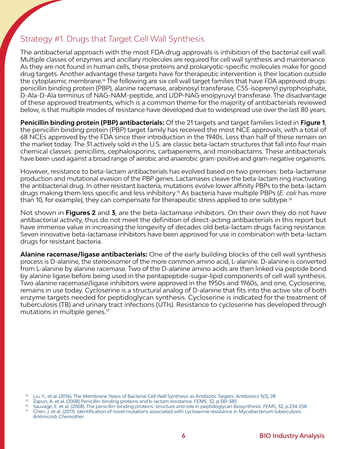#### Strategy #1. Drugs that Target Cell Wall Synthesis

The antibacterial approach with the most FDA drug approvals is inhibition of the bacterial cell wall. Multiple classes of enzymes and ancillary molecules are required for cell wall synthesis and maintenance. As they are not found in human cells, these proteins and prokaryotic-specific molecules make for good drug targets. Another advantage these targets have for therapeutic intervention is their location outside the cytoplasmic membrane.14 The following are six cell wall target families that have FDA approved drugs: penicillin binding protein (PBP), alanine racemase, arabinosyl transferase, C55-isoprenyl pyrophosphate, D-Ala-D-Ala terminus of NAG-NAM-peptide, and UDP-NAG enolpyruvyl transferase. The disadvantage of these approved treatments, which is a common theme for the majority of antibacterials reviewed below, is that multiple modes of resistance have developed due to widespread use over the last 80 years.

**Penicillin binding protein (PBP) antibacterials:** Of the 21 targets and target families listed in **Figure 1**, the penicillin binding protein (PBP) target family has received the most NCE approvals, with a total of 68 NCEs approved by the FDA since their introduction in the 1940s. Less than half of these remain on the market today. The 31 actively sold in the U.S. are classic beta-lactam structures that fall into four main chemical classes: penicillins, cephalosporins, carbapenems, and monobactams. These antibacterials have been used against a broad range of aerobic and anaerobic gram-positive and gram-negative organisms.

However, resistance to beta-lactam antibacterials has evolved based on two premises: beta-lactamase production and mutational evasion of the PBP genes. Lactamases cleave the beta-lactam ring inactivating the antibacterial drug. In other resistant bacteria, mutations evolve lower affinity PBPs to the beta-lactam drugs making them less specific and less inhibitory.15 As bacteria have multiple PBPs (*E. coli* has more than 10, for example), they can compensate for therapeutic stress applied to one subtype.<sup>16</sup>

Not shown in **Figures 2** and **3**, are the beta-lactamase inhibitors. On their own they do not have antibacterial activity, thus do not meet the definition of direct-acting antibacterials in this report but have immense value in increasing the longevity of decades old beta-lactam drugs facing resistance. Seven innovative beta-lactamase inhibitors have been approved for use in combination with beta-lactam drugs for resistant bacteria.

**Alanine racemase/ligase antibacterials:** One of the early building blocks of the cell wall synthesis process is D-alanine, the stereoisomer of the more common amino acid, L-alanine. D-alanine is converted from L-alanine by alanine racemase. Two of the D-alanine amino acids are then linked via peptide bond by alanine ligase before being used in the pentapeptide-sugar-lipid components of cell wall synthesis. Two alanine racemase/ligase inhibitors were approved in the 1950s and 1960s, and one, Cycloserine, remains in use today. Cycloserine is a structural analog of D-alanine that fits into the active site of both enzyme targets needed for peptidoglycan synthesis. Cycloserine is indicated for the treatment of tuberculosis (TB) and urinary tract infections (UTIs). Resistance to cycloserine has developed through mutations in multiple genes.<sup>17</sup>

<sup>&</sup>lt;sup>14</sup> Liu, Y., et al. (2016). The Membrane Steps of Bacterial Cell Wall Synthesis as Antibiotic Targets. Antibiotics 5(3), 28<br><sup>15</sup> Zapun, A. et al. (2008) Penicillin-binding proteins and b-lactam resistance. *FEMS*, 32, p.3 *Antimicrob Chemother*.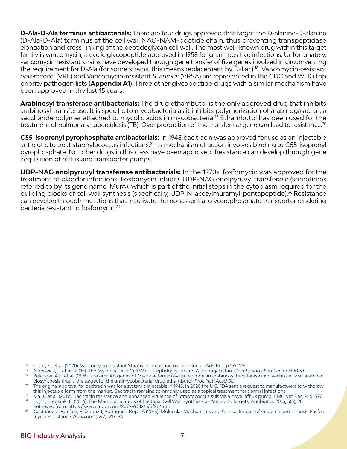**D-Ala-D-Ala terminus antibacterials:** There are four drugs approved that target the D-alanine-D-alanine (D-Ala-D-Ala) terminus of the cell wall NAG-NAM-peptide chain, thus preventing transpeptidase elongation and cross-linking of the peptidoglycan cell wall. The most well-known drug within this target family is vancomycin, a cyclic glycopeptide approved in 1958 for gram-positive infections. Unfortunately, vancomycin resistant strains have developed through gene transfer of five genes involved in circumventing the requirement for D-Ala (for some strains, this means replacement by D-Lac).<sup>18</sup> Vancomycin-resistant *enterococci* (VRE) and Vancomycin-resistant *S. aureus* (VRSA) are represented in the CDC and WHO top priority pathogen lists (**Appendix A1**). Three other glycopeptide drugs with a similar mechanism have been approved in the last 15 years.

**Arabinosyl transferase antibacterials:** The drug ethambutol is the only approved drug that inhibits arabinosyl transferase. It is specific to mycobacteria as it inhibits polymerization of arabinogalactan, a saccharide polymer attached to mycolic acids in mycobacteria.<sup>19</sup> Ethambutol has been used for the treatment of pulmonary tuberculosis (TB). Over production of the transferase gene can lead to resistance.<sup>20</sup>

**C55-isoprenyl pyrophosphate antibacterials:** In 1948 bacitracin was approved for use as an injectable antibiotic to treat staphylococcus infections.<sup>21</sup> Its mechanism of action involves binding to C55-isoprenyl pyrophosphate. No other drugs in this class have been approved. Resistance can develop through gene acquisition of efflux and transporter pumps.<sup>22</sup>

**UDP-NAG enolpyruvyl transferase antibacterials:** In the 1970s, fosfomycin was approved for the treatment of bladder infections. Fosfomycin inhibits UDP-NAG enolpyruvyl transferase (sometimes referred to by its gene name, MurA), which is part of the initial steps in the cytoplasm required for the building blocks of cell wall synthesis (specifically, UDP-N-acetylmuramyl-pentapeptide).<sup>23</sup> Resistance can develop through mutations that inactivate the nonessential glycerophosphate transporter rendering bacteria resistant to fosfomycin.<sup>24</sup>

<sup>18</sup> Cong, Y., et al. (2020). Vancomycin resistant Staphylococcus aureus infections. J Adv Res. p.169–176

<sup>19</sup> Alderwick, L. et al. (2015). The Mycobacterial Cell Wall – Peptidoglycan and Arabinogalactan. *Cold Spring Harb Perspect Med*.

<sup>&</sup>lt;sup>20</sup> Belanger, A.E. et al. (1996). The embAB genes of Mycobacterium avium encode an arabinosyl transferase involved in cell wall arabinan biosynthesis that is the target for the antimycobacterial drug ethambutol. *Proc Natl Acad Sci*.

<sup>&</sup>lt;sup>21</sup> The original approval for bacitracin was for a systemic injectable in 1948. In 2020 the U.S. FDA sent a request to manufacturers to withdraw this injectable form from the market. Bacitracin remains commonly used as a topical treatment for dermal infections.

<sup>22</sup> Ma, J., et al. (2019). Bacitracin resistance and enhanced virulence of Streptococcus suis via a novel efflux pump. BMC Vet Res. P.15: 377<br>23 July 20 Rouleight 5 (2014). The Mombrane Stape of Bacterial Coll Wall Synthesi <sup>23</sup> Liu, Y., Breukink, E. (2016). The Membrane Steps of Bacterial Cell Wall Synthesis as Antibiotic Targets. Antibiotics 2016, 5(3), 28.

Retrieved from: https://www.mdpi.com/2079-6382/5/3/28/htm

<sup>24</sup> Castañeda-García A, Blázquez J, Rodríguez-Rojas A (2013). Molecular Mechanisms and Clinical Impact of Acquired and Intrinsic Fosfoa [mycin Resistance](https://www.ncbi.nlm.nih.gov/pmc/articles/PMC4790336). *Antibiotics*, 2(2). 217–36.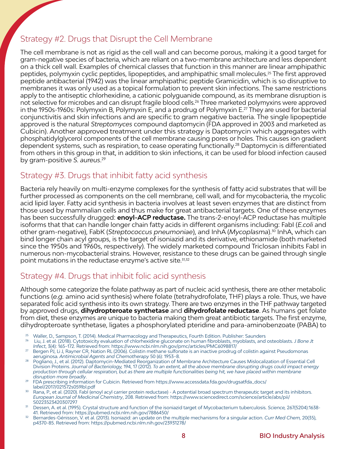#### Strategy #2. Drugs that Disrupt the Cell Membrane

The cell membrane is not as rigid as the cell wall and can become porous, making it a good target for gram-negative species of bacteria, which are reliant on a two-membrane architecture and less dependent on a thick cell wall. Examples of chemical classes that function in this manner are linear amphipathic peptides, polymyxin cyclic peptides, lipopeptides, and amphipathic small molecules.<sup>25</sup> The first approved peptide antibacterial (1942) was the linear amphipathic peptide Gramicidin, which is so disruptive to membranes it was only used as a topical formulation to prevent skin infections. The same restrictions apply to the antiseptic chlorhexidine, a cationic polyguanide compound, as its membrane disruption is not selective for microbes and can disrupt fragile blood cells.26 Three marketed polymyxins were approved in the 1950s-1960s: Polymyxin B, Polymyxin E, and a prodrug of Polymyxin E.27 They are used for bacterial conjunctivitis and skin infections and are specific to gram negative bacteria. The single lipopeptide approved is the natural *Streptomyces* compound daptomycin (FDA approved in 2003 and marketed as Cubicin). Another approved treatment under this strategy is Daptomycin which aggregates with phosphatidylglycerol components of the cell membrane causing pores or holes. This causes ion gradient dependent systems, such as respiration, to cease operating functionally.<sup>28</sup> Daptomycin is differentiated from others in this group in that, in addition to skin infections, it can be used for blood infection caused by gram-positive *S. aureus*. 29

#### Strategy #3. Drugs that inhibit fatty acid synthesis

Bacteria rely heavily on multi-enzyme complexes for the synthesis of fatty acid substrates that will be further processed as components on the cell membrane, cell wall, and for mycobacteria, the mycolic acid lipid layer. Fatty acid synthesis in bacteria involves at least seven enzymes that are distinct from those used by mammalian cells and thus make for great antibacterial targets. One of these enzymes has been successfully drugged: **enoyl-ACP reductase.** The trans-2-enoyl-ACP reductase has multiple isoforms that that can handle longer chain fatty acids in different organisms including: FabI (*E.coli* and other gram-negative), FabK (*Streptococcus pneumoniae*), and InhA (*Mycoplasma*).30 InhA, which can bind longer chain acyl groups, is the target of isoniazid and its derivative, ethionamide (both marketed since the 1950s and 1960s, respectively). The widely marketed compound Triclosan inhibits FabI in numerous non-mycobacterial strains. However, resistance to these drugs can be gained through single point mutations in the reductase enzyme's active site.<sup>31,32</sup>

#### Strategy #4. Drugs that inhibit folic acid synthesis

Although some categorize the folate pathway as part of nucleic acid synthesis, there are other metabolic functions (*e.g.* amino acid synthesis) where folate (tetrahydrofolate, THF) plays a role. Thus, we have separated folic acid synthesis into its own strategy. There are two enzymes in the THF pathway targeted by approved drugs, **dihydropteroate synthetase** and **dihydrofolate reductase**. As humans get folate from diet, these enzymes are unique to bacteria making them great antibiotic targets. The first enzyme, dihydropteroate synthetase, ligates a phosphorylated pteridine and para-aminobenzoate (PABA) to

- <sup>25</sup> Waller, D., Sampson, T. (2014). Medical Pharmacology and Therapeutics, Fourth Edition. Publisher: Saunders<br><sup>26</sup> Liu Let al. (2018). Outotoxicity ovaluation of chlorboxiding gluconate an human fibroblasts, mychlasts, a
- 26 Liu, J. et al. (2018). Cytotoxicity evaluation of chlorhexidine gluconate on human fibroblasts, myoblasts, and osteoblasts. *J Bone Jt Infect*, 3(4): 165–172. Retrieved from: https://www.ncbi.nlm.nih.gov/pmc/articles/PMC6098817/
- $^{27}$  Bergen PJ, Li J, Rayner CR, Nation RL (2006). Colistin methane sulfonate is an inactive prodrug of colistin against Pseudomonas aeruginosa*. Antimicrobial Agents and Chemotherapy* 50 (6): 1953–8.
- <sup>28</sup> Pogliano, J., et al. (2012). Daptomycin-Mediated Reorganization of Membrane Architecture Causes Mislocalization of Essential Cell Division Proteins. *Journal of Bacteriology,* 194, 17 (2012). *To an extent, all the above membrane disrupting drugs could impact energy production through cellular respiration, but as there are multiple functionalities being hit, we have placed within membrane disruption more broadly*.
- 29 FDA prescribing information for Cubicin. Retrieved from https://www.accessdata.fda.gov/drugsatfda\_docs/ label/2017/021572s059lbl.pdf
- <sup>30</sup> Rana, P., et al. (2020). FabI (enoyl acyl carrier protein reductase) A potential broad spectrum therapeutic target and its inhibitors. *European Journal of Medicinal Chemistry*, 208. Retrieved from: https://www.sciencedirect.com/science/article/abs/pii/ S0223523420307297
- 31 Dessen, A. et al. (1995). Crystal structure and function of the isoniazid target of Mycobacterium tuberculosis. *Science,* 267(5204):1638- 41. Retrieved from: https://pubmed.ncbi.nlm.nih.gov/7886450/
- <sup>32</sup> Bernardes-Génisson, V. et al. (2013). Isoniazid: an update on the multiple mechanisms for a singular action. *Curr Med Chem,* 20(35), p4370-85. Retrieved from: https://pubmed.ncbi.nlm.nih.gov/23931278/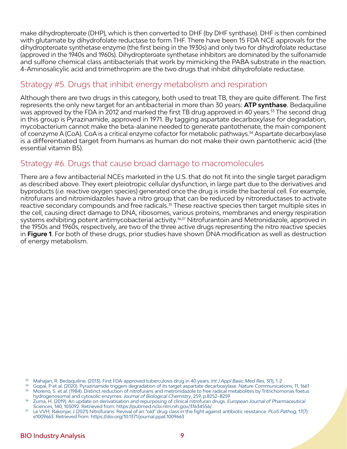make dihydropteroate (DHP), which is then converted to DHF (by DHF synthase). DHF is then combined with glutamate by dihydrofolate reductase to form THF. There have been 15 FDA NCE approvals for the dihydropteroate synthetase enzyme (the first being in the 1930s) and only two for dihydrofolate reductase (approved in the 1940s and 1960s). Dihydropteroate synthetase inhibitors are dominated by the sulfonamide and sulfone chemical class antibacterials that work by mimicking the PABA substrate in the reaction. 4-Aminosalicylic acid and trimethroprim are the two drugs that inhibit dihydrofolate reductase.

#### Strategy #5. Drugs that inhibit energy metabolism and respiration

Although there are two drugs in this category, both used to treat TB, they are quite different. The first represents the only new target for an antibacterial in more than 30 years: **ATP synthase**. Bedaquiline was approved by the FDA in 2012 and marked the first TB drug approved in 40 years.<sup>33</sup> The second drug in this group is Pyrazinamide, approved in 1971. By tagging aspartate decarboxylase for degradation, mycobacterium cannot make the beta-alanine needed to generate pantothenate, the main component of coenzyme A (CoA). CoA is a critical enzyme cofactor for metabolic pathways.<sup>34</sup> Aspartate decarboxylase is a differentiated target from humans as human do not make their own pantothenic acid (the essential vitamin B5).

#### Strategy #6. Drugs that cause broad damage to macromolecules

There are a few antibacterial NCEs marketed in the U.S. that do not fit into the single target paradigm as described above. They exert pleiotropic cellular dysfunction, in large part due to the derivatives and byproducts (*i.e.* reactive oxygen species) generated once the drug is inside the bacterial cell. For example, nitrofurans and nitroimidazoles have a nitro group that can be reduced by nitroreductases to activate reactive secondary compounds and free radicals.<sup>35</sup> These reactive species then target multiple sites in the cell, causing direct damage to DNA, ribosomes, various proteins, membranes and energy respiration systems exhibiting potent antimycobacterial activity.<sup>36,37</sup> Nitrofurantoin and Metronidazole, approved in the 1950s and 1960s, respectively, are two of the three active drugs representing the nitro reactive species in **Figure 1**. For both of these drugs, prior studies have shown DNA modification as well as destruction of energy metabolism.

<sup>&</sup>lt;sup>33</sup> Mahajan, R. Bedaquiline. (2013). First FDA-approved tuberculosis drug in 40 years. *Int J Appl Basic Med Res*, 3(1), 1-2<br><sup>34</sup> Gopal, P et al. (2020). Pyrazinamide triggers degradation of its target aspartate decarboxy hydrogenosomal and cytosolic enzymes. *Journal of Biological Chemistry*, 259, p.8252–8259

<sup>36</sup> Zuma, H. (2019). An update on derivatisation and repurposing of clinical nitrofuran drugs. *European Journal of Pharmaceutical Sciences*, 140, 105092. Retrieved from: https://pubmed.ncbi.nlm.nih.gov/31634556/

<sup>37</sup> Le VVH, Rakonjac J (2021) Nitrofurans: Revival of an "old" drug class in the fight against antibiotic resistance. *PLoS Pathog,* 17(7): e1009663. Retrieved from: https://doi.org/10.1371/journal.ppat.1009663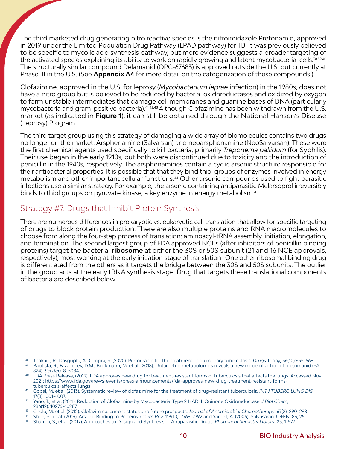The third marketed drug generating nitro reactive species is the nitroimidazole Pretonamid, approved in 2019 under the Limited Population Drug Pathway (LPAD pathway) for TB. It was previously believed to be specific to mycolic acid synthesis pathway, but more evidence suggests a broader targeting of the activated species explaining its ability to work on rapidly growing and latent mycobacterial cells.<sup>38,39,40</sup> The structurally similar compound Delamanid (OPC-67683) is approved outside the U.S. but currently at Phase III in the U.S. (See **Appendix A4** for more detail on the categorization of these compounds.)

Clofazimine, approved in the U.S. for leprosy (*Mycobacterium leprae* infection) in the 1980s, does not have a nitro group but is believed to be reduced by bacterial oxidoreductases and oxidized by oxygen to form unstable intermediates that damage cell membranes and guanine bases of DNA (particularly mycobacteria and gram-positive bacteria).41,42,43 Although Clofazimine has been withdrawn from the U.S. market (as indicated in **Figure 1**), it can still be obtained through the National Hansen's Disease (Leprosy) Program.

The third target group using this strategy of damaging a wide array of biomolecules contains two drugs no longer on the market: Arsphenamine (Salvarsan) and neoarsphenamine (NeoSalvarsan). These were the first chemical agents used specifically to kill bacteria, primarily *Treponema pallidum* (for Syphilis). Their use began in the early 1910s, but both were discontinued due to toxicity and the introduction of penicillin in the 1940s, respectively. The arsphenamines contain a cyclic arsenic structure responsible for their antibacterial properties. It is possible that that they bind thiol groups of enzymes involved in energy metabolism and other important cellular functions.44 Other arsenic compounds used to fight parasitic infections use a similar strategy. For example, the arsenic containing antiparasitic Melarsoprol irreversibly binds to thiol groups on pyruvate kinase, a key enzyme in energy metabolism.45

#### Strategy #7. Drugs that Inhibit Protein Synthesis

There are numerous differences in prokaryotic vs. eukaryotic cell translation that allow for specific targeting of drugs to block protein production. There are also multiple proteins and RNA macromolecules to choose from along the four-step process of translation: aminoacyl-tRNA assembly, initiation, elongation, and termination. The second largest group of FDA approved NCEs (after inhibitors of penicillin binding proteins) target the bacterial **ribosome** at either the 30S or 50S subunit (21 and 16 NCE approvals, respectively), most working at the early initiation stage of translation . One other ribosomal binding drug is differentiated from the others as it targets the bridge between the 30S and 50S subunits. The outlier in the group acts at the early tRNA synthesis stage. Drug that targets these translational components of bacteria are described below.

<sup>38</sup> Thakare, R., Dasgupta, A., Chopra, S. (2020). Pretomanid for the treatment of pulmonary tuberculosis. *Drugs* Today, 56(10):655-668.

Baptista, R., Fazakerley, D.M., Beckmann, M. et al. (2018). Untargeted metabolomics reveals a new mode of action of pretomanid (PA-824). *Sci Rep,* 8, 5084.

- <sup>40</sup> FDA Press Release, (2019). FDA approves new drug for treatment-resistant forms of tuberculosis that affects the lungs. Accessed Nov 2021: https://www.fda.gov/news-events/press-announcements/fda-approves-new-drug-treatment-resistant-formstuberculosis-affects-lungs
- 41 Gopal, M. et al. (2013). Systematic review of clofazimine for the treatment of drug-resistant tuberculosis. *INT J TUBERC LUNG DIS*, 17(8) 1001–1007.
- <sup>42</sup> Yano, T., et al. (2011). Reduction of Clofazimine by Mycobacterial Type 2 NADH: Quinone Oxidoreductase. *J Biol Chem,*  286(12): 10276–10287.
- <sup>43</sup> Cholo, M. et al. (2012). Clofazimine: current status and future prospects. Journal of Antimicrobial Chemotherapy. 67(2), 290–298<br><sup>44</sup> Shen, S., et al. (2013). Arsenic Binding to Proteins. Chem Rev. 113(10), 7769–7792
- 
- <sup>45</sup> Sharma, S., et al. (2017). Approaches to Design and Synthesis of Antiparasitic Drugs. *Pharmacochemistry Library*, 25, 1-577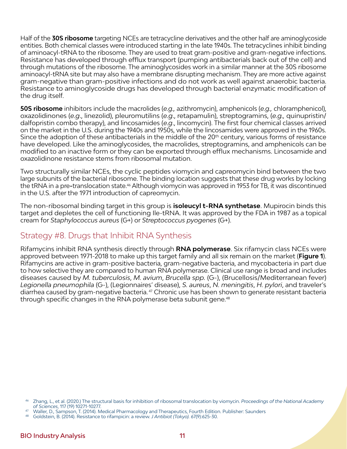Half of the **30S ribosome** targeting NCEs are tetracycline derivatives and the other half are aminoglycoside entities. Both chemical classes were introduced starting in the late 1940s. The tetracyclines inhibit binding of aminoacyl-tRNA to the ribosome. They are used to treat gram-positive and gram-negative infections. Resistance has developed through efflux transport (pumping antibacterials back out of the cell) and through mutations of the ribosome. The aminoglycosides work in a similar manner at the 30S ribosome aminoacyl-tRNA site but may also have a membrane disrupting mechanism. They are more active against gram-negative than gram-positive infections and do not work as well against anaerobic bacteria. Resistance to aminoglycoside drugs has developed through bacterial enzymatic modification of the drug itself.

**50S ribosome** inhibitors include the macrolides (*e.g.,* azithromycin), amphenicols (*e.g.,* chloramphenicol), oxazolidinones (*e.g*., linezolid), pleuromutilins (*e.g*., retapamulin), streptogramins, (*e.g.,* quinupristin/ dalfopristin combo therapy), and lincosamides (*e.g*., lincomycin). The first four chemical classes arrived on the market in the U.S. during the 1940s and 1950s, while the lincosamides were approved in the 1960s. Since the adoption of these antibacterials in the middle of the 20<sup>th</sup> century, various forms of resistance have developed. Like the aminoglycosides, the macrolides, streptogramins, and amphenicols can be modified to an inactive form or they can be exported through efflux mechanisms. Lincosamide and oxazolidinone resistance stems from ribosomal mutation.

Two structurally similar NCEs, the cyclic peptides viomycin and capreomycin bind between the two large subunits of the bacterial ribosome. The binding location suggests that these drug works by locking the tRNA in a pre**-**translocation state.46 Although viomycin was approved in 1953 for TB, it was discontinued in the U.S. after the 1971 introduction of capreomycin.

The non-ribosomal binding target in this group is **isoleucyl t-RNA synthetase**. Mupirocin binds this target and depletes the cell of functioning Ile-tRNA. It was approved by the FDA in 1987 as a topical cream for *Staphylococcus aureus* (G+) or *Streptococcus pyogenes* (G+).

#### Strategy #8. Drugs that Inhibit RNA Synthesis

Rifamycins inhibit RNA synthesis directly through **RNA polymerase**. Six rifamycin class NCEs were approved between 1971-2018 to make up this target family and all six remain on the market (**Figure 1**). Rifamycins are active in gram-positive bacteria, gram-negative bacteria, and mycobacteria in part due to how selective they are compared to human RNA polymerase. Clinical use range is broad and includes diseases caused by *M. tuberculosis*, *M. avium*, *Brucella spp.* (G-), (Brucellosis/Mediterranean fever) *Legionella pneumophila* (G-), (Legionnaires' disease), *S. aureus*, *N. meningitis*, *H. pylori*, and traveler's diarrhea caused by gram-negative bacteria. 47 Chronic use has been shown to generate resistant bacteria through specific changes in the RNA polymerase beta subunit gene.<sup>48</sup>

<sup>46</sup> Zhang, L., et al. (2020.) The structural basis for inhibition of ribosomal translocation by viomycin. *Proceedings of the National Academy of Sciences*, 117 (19) 10271-10277.

<sup>47</sup> Waller, D., Sampson, T. (2014). Medical Pharmacology and Therapeutics, Fourth Edition. Publisher: Saunders

<sup>48</sup> Goldstein, B. (2014). Resistance to rifampicin: a review. *J Antibiot (Tokyo).* 67(9):625-30.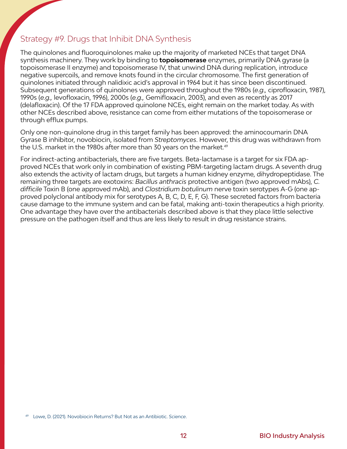#### Strategy #9. Drugs that Inhibit DNA Synthesis

The quinolones and fluoroquinolones make up the majority of marketed NCEs that target DNA synthesis machinery. They work by binding to **topoisomerase** enzymes, primarily DNA gyrase (a topoisomerase II enzyme) and topoisomerase IV, that unwind DNA during replication, introduce negative supercoils, and remove knots found in the circular chromosome. The first generation of quinolones initiated through nalidixic acid's approval in 1964 but it has since been discontinued. Subsequent generations of quinolones were approved throughout the 1980s (*e.g.,* ciprofloxacin, 1987), 1990s (*e.g.,* levofloxacin, 1996), 2000s (*e.g.,* Gemifloxacin, 2003), and even as recently as 2017 (delafloxacin). Of the 17 FDA approved quinolone NCEs, eight remain on the market today. As with other NCEs described above, resistance can come from either mutations of the topoisomerase or through efflux pumps.

Only one non-quinolone drug in this target family has been approved: the aminocoumarin DNA Gyrase B inhibitor, novobiocin, isolated from *Streptomyces*. However, this drug was withdrawn from the U.S. market in the 1980s after more than 30 years on the market.<sup>49</sup>

For indirect-acting antibacterials, there are five targets. Beta-lactamase is a target for six FDA approved NCEs that work only in combination of existing PBM-targeting lactam drugs. A seventh drug also extends the activity of lactam drugs, but targets a human kidney enzyme, dihydropeptidase. The remaining three targets are exotoxins: *Bacillus anthracis* protective antigen (two approved mAbs), *C. difficile* Toxin B (one approved mAb), and *Clostridium botulinum* nerve toxin serotypes A-G (one approved polyclonal antibody mix for serotypes A, B, C, D, E, F, G). These secreted factors from bacteria cause damage to the immune system and can be fatal, making anti-toxin therapeutics a high priority. One advantage they have over the antibacterials described above is that they place little selective pressure on the pathogen itself and thus are less likely to result in drug resistance strains.

<sup>49</sup> Lowe, D. (2021). Novobiocin Returns? But Not as an Antibiotic. *Science*.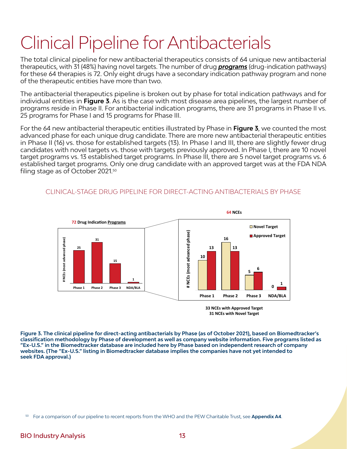# Clinical Pipeline for Antibacterials

The total clinical pipeline for new antibacterial therapeutics consists of 64 unique new antibacterial therapeutics, with 31 (48%) having novel targets. The number of drug *programs* (drug-indication pathways) for these 64 therapies is 72. Only eight drugs have a secondary indication pathway program and none of the therapeutic entities have more than two.

The antibacterial therapeutics pipeline is broken out by phase for total indication pathways and for individual entities in **Figure 3**. As is the case with most disease area pipelines, the largest number of programs reside in Phase II. For antibacterial indication programs, there are 31 programs in Phase II vs. 25 programs for Phase I and 15 programs for Phase III.

For the 64 new antibacterial therapeutic entities illustrated by Phase in **Figure 3**, we counted the most advanced phase for each unique drug candidate. There are more new antibacterial therapeutic entities in Phase II (16) vs. those for established targets (13). In Phase I and III, there are slightly fewer drug candidates with novel targets vs. those with targets previously approved. In Phase I, there are 10 novel target programs vs. 13 established target programs. In Phase III, there are 5 novel target programs vs. 6 established target programs. Only one drug candidate with an approved target was at the FDA NDA filing stage as of October 2021. 50



#### CLINICAL-STAGE DRUG PIPELINE FOR DIRECT-ACTING ANTIBACTERIALS BY PHASE

**33 NCEs with Approved Target 31 NCEs with Novel Target**

**Figure 3. The clinical pipeline for direct-acting antibacterials by Phase (as of October 2021), based on Biomedtracker's classification methodology by Phase of development as well as company website information. Five programs listed as "Ex-U.S." in the Biomedtracker database are included here by Phase based on independent research of company websites. (The "Ex-U.S." listing in Biomedtracker database implies the companies have not yet intended to seek FDA approval.)**

<sup>50</sup> For a comparison of our pipeline to recent reports from the WHO and the PEW Charitable Trust, see **Appendix A4**.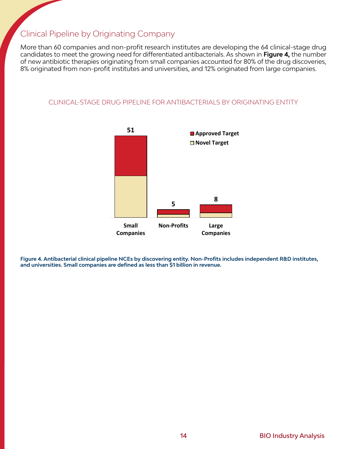#### Clinical Pipeline by Originating Company

More than 60 companies and non-profit research institutes are developing the 64 clinical-stage drug candidates to meet the growing need for differentiated antibacterials. As shown in **Figure 4,** the number of new antibiotic therapies originating from small companies accounted for 80% of the drug discoveries, 8% originated from non-profit institutes and universities, and 12% originated from large companies.

#### CLINICAL-STAGE DRUG PIPELINE FOR ANTIBACTERIALS BY ORIGINATING ENTITY



**Figure 4. Antibacterial clinical pipeline NCEs by discovering entity. Non-Profits includes independent R&D institutes, and universities. Small companies are defined as less than \$1 billion in revenue.**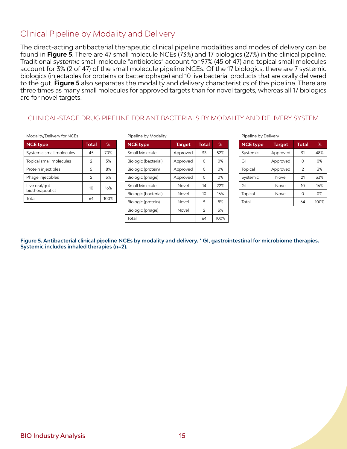#### Clinical Pipeline by Modality and Delivery

The direct-acting antibacterial therapeutic clinical pipeline modalities and modes of delivery can be found in **Figure 5**. There are 47 small molecule NCEs (73%) and 17 biologics (27%) in the clinical pipeline. Traditional *systemic* small molecule "antibiotics" account for 97% (45 of 47) and topical small molecules account for 3% (2 of 47) of the small molecule pipeline NCEs. Of the 17 biologics, there are 7 systemic biologics (injectables for proteins or bacteriophage) and 10 live bacterial products that are orally delivered to the gut. **Figure 5** also separates the modality and delivery characteristics of the pipeline. There are three times as many small molecules for approved targets than for novel targets, whereas all 17 biologics are for novel targets.

#### CLINICAL-STAGE DRUG PIPELINE FOR ANTIBACTERIALS BY MODALITY AND DELIVERY SYSTEM

#### Modality/Delivery for NCEs

| <b>NCE type</b>                  | <b>Total</b> | %    |
|----------------------------------|--------------|------|
| Systemic small molecules         | 45           | 70%  |
| Topical small molecules          | 2            | 3%   |
| Protein injectibles              | 5            | 8%   |
| Phage injectibles                | 2            | 3%   |
| Live oral/gut<br>biotherapeutics | 10           | 16%  |
| Total                            | 64           | 100% |

Pipeline by Modality

| <b>NCE type</b>      | <b>Target</b> | Total          | ℅    |
|----------------------|---------------|----------------|------|
| Small Molecule       | Approved      | 33             | 52%  |
| Biologic (bacterial) | Approved      | 0              | 0%   |
| Biologic (protein)   | Approved      | 0              | 0%   |
| Biologic (phage)     | Approved      | 0              | 0%   |
| Small Molecule       | Novel         | 14             | 22%  |
| Biologic (bacterial) | Novel         | 10             | 16%  |
| Biologic (protein)   | Novel         | 5              | 8%   |
| Biologic (phage)     | Novel         | $\overline{2}$ | 3%   |
| Total                |               | 64             | 100% |

Pipeline by Delivery

| <b>NCE type</b> | <b>Target</b> | <b>Total</b> | %    |
|-----------------|---------------|--------------|------|
| Systemic        | Approved      | 31           | 48%  |
| GI              | Approved      | ი            | 0%   |
| Topical         | Approved      | 2            | 3%   |
| Systemic        | Novel         | 21           | 33%  |
| GI              | Novel         | 10           | 16%  |
| Topical         | Novel         | ∩            | 0%   |
| Total           |               | 64           | 100% |

**Figure 5. Antibacterial clinical pipeline NCEs by modality and delivery. \* GI, gastrointestinal for microbiome therapies. Systemic includes inhaled therapies (n=2).**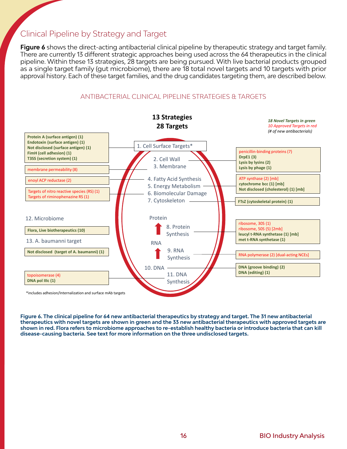#### Clinical Pipeline by Strategy and Target

Figure 6 shows the direct-acting antibacterial clinical pipeline by therapeutic strategy and target family. There are currently 13 different strategic approaches being used across the 64 therapeutics in the clinical pipeline. Within these 13 strategies, 28 targets are being pursued. With live bacterial products grouped as a single target family (gut microbiome), there are 18 total novel targets and 10 targets with prior approval history. Each of these target families, and the drug candidates targeting them, are described below.



#### ANTIBACTERIAL CLINICAL PIPELINE STRATEGIES & TARGETS

**Figure 6. The clinical pipeline for 64 new antibacterial therapeutics by strategy and target. The 31 new antibacterial therapeutics with novel targets are shown in green and the 33 new antibacterial therapeutics with approved targets are shown in red. Flora refers to microbiome approaches to re-establish healthy bacteria or introduce bacteria that can kill disease-causing bacteria. See text for more information on the three undisclosed targets.**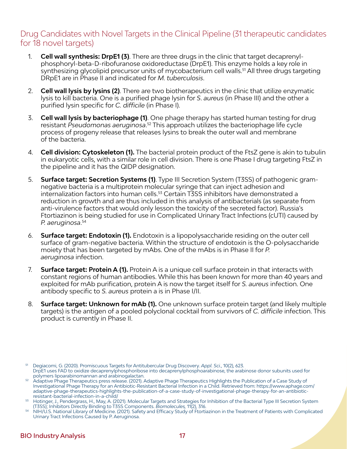#### Drug Candidates with Novel Targets in the Clinical Pipeline (31 therapeutic candidates for 18 novel targets)

- 1. **Cell wall synthesis: DrpE1 (3)**. There are three drugs in the clinic that target decaprenylphosphoryl-beta-D-ribofuranose oxidoreductase (DrpE1). This enzyme holds a key role in synthesizing glycolipid precursor units of mycobacterium cell walls.<sup>51</sup> All three drugs targeting DRpE1 are in Phase II and indicated for *M. tuberculosis*.
- 2. **Cell wall lysis by lysins (2)**. There are two biotherapeutics in the clinic that utilize enzymatic lysis to kill bacteria. One is a purified phage lysin for *S*. *aureus* (in Phase III) and the other a purified lysin specific for *C. difficile* (in Phase I).
- 3. **Cell wall lysis by bacteriophage (1)**. One phage therapy has started human testing for drug resistant *Pseudomonas aeruginosa*. 52 This approach utilizes the bacteriophage life cycle process of progeny release that releases lysins to break the outer wall and membrane of the bacteria.
- 4. **Cell division: Cytoskeleton (1).** The bacterial protein product of the FtsZ gene is akin to tubulin in eukaryotic cells, with a similar role in cell division. There is one Phase I drug targeting FtsZ in the pipeline and it has the QIDP designation.
- 5. **Surface target: Secretion Systems (1)**. Type III Secretion System (T3SS) of pathogenic gramnegative bacteria is a multiprotein molecular syringe that can inject adhesion and internalization factors into human cells.<sup>53</sup> Certain T3SS inhibitors have demonstrated a reduction in growth and are thus included in this analysis of antibacterials (as separate from anti-virulence factors that would only lesson the toxicity of the secreted factor). Russia's Ftortiazinon is being studied for use in Complicated Urinary Tract Infections (cUTI) caused by *P. aeruginosa*. 54
- 6. **Surface target: Endotoxin (1).** Endotoxin is a lipopolysaccharide residing on the outer cell surface of gram-negative bacteria. Within the structure of endotoxin is the O-polysaccharide moiety that has been targeted by mAbs. One of the mAbs is in Phase II for *P. aeruginosa* infection.
- 7. **Surface target: Protein A (1).** Protein A is a unique cell surface protein in that interacts with constant regions of human antibodies. While this has been known for more than 40 years and exploited for mAb purification, protein A is now the target itself for *S. aureus* infection. One antibody specific to *S. aureus* protein a is in Phase I/II.
- 8. **Surface target: Unknown for mAb (1).** One unknown surface protein target (and likely multiple targets) is the antigen of a pooled polyclonal cocktail from survivors of *C. difficile* infection. This product is currently in Phase II.

<sup>51</sup> Degiacomi, G. (2020). Promiscuous Targets for Antitubercular Drug Discovery. *Appl. Sci.*, 10(2), 623. DrpE1 uses FAD to oxidize decaprenylphosphoribose into decaprenylphosphoarabinose, the arabinose donor subunits used for polymers lipoarabinomannan and arabinogalactan.

<sup>52</sup> Adaptive Phage Therapeutics press release. (2021). Adaptive Phage Therapeutics Highlights the Publication of a Case Study of Investigational Phage Therapy for an Antibiotic-Resistant Bacterial Infection in a Child. Retrieved from: https://www.aphage.com/ adaptive-phage-therapeutics-highlights-the-publication-of-a-case-study-of-investigational-phage-therapy-for-an-antibioticresistant-bacterial-infection-in-a-child/

 $^{53}$  Hotinger, J., Pendergrass, H., May, A. (2021). Molecular Targets and Strategies for Inhibition of the Bacterial Type III Secretion System (T3SS); Inhibitors Directly Binding to T3SS Components. *Biomolecules,* 11(2), 316.

<sup>54</sup> NIH/U.S. National Library of Medicine. (2021). Safety and Efficacy Study of Ftortiazinon in the Treatment of Patients with Complicated Urinary Tract Infections Caused by P. Aeruginosa.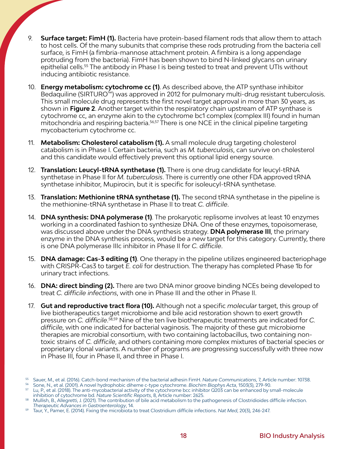- 9. **Surface target: FimH (1).** Bacteria have protein-based filament rods that allow them to attach to host cells. Of the many subunits that comprise these rods protruding from the bacteria cell surface, is FimH (a fimbria-mannose attachment protein. A fimbira is a long appendage protruding from the bacteria). FimH has been shown to bind N-linked glycans on urinary epithelial cells.<sup>55</sup> The antibody in Phase I is being tested to treat and prevent UTIs without inducing antibiotic resistance.
- 10. **Energy metabolism: cytochrome cc (1)**. As described above, the ATP synthase inhibitor Bedaquiline (SIRTURO™) was approved in 2012 for pulmonary multi-drug resistant tuberculosis. This small molecule drug represents the first novel target approval in more than 30 years, as shown in **Figure 2**. Another target within the respiratory chain upstream of ATP synthase is cytochrome cc, an enzyme akin to the cytochrome bc1 complex (complex III) found in human mitochondria and respiring bacteria.<sup>56,57</sup> There is one NCE in the clinical pipeline targeting mycobacterium cytochrome cc.
- 11. **Metabolism: Cholesterol catabolism (1).** A small molecule drug targeting cholesterol catabolism is in Phase I. Certain bacteria, such as *M. tuberculosis*, can survive on cholesterol and this candidate would effectively prevent this optional lipid energy source.
- 12. **Translation: Leucyl-tRNA synthetase (1).** There is one drug candidate for leucyl-tRNA synthetase in Phase II for *M. tuberculosis*. There is currently one other FDA approved tRNA synthetase inhibitor, Mupirocin, but it is specific for isoleucyl-tRNA synthetase.
- 13. **Translation: Methionine tRNA synthetase (1).** The second tRNA synthetase in the pipeline is the methionine-tRNA synthetase in Phase II to treat *C. difficile*.
- 14. **DNA synthesis: DNA polymerase (1)**. The prokaryotic replisome involves at least 10 enzymes working in a coordinated fashion to synthesize DNA. One of these enzymes, topoisomerase, was discussed above under the DNA synthesis strategy. **DNA polymerase III**, the primary enzyme in the DNA synthesis process, would be a new target for this category. Currently, there is one DNA polymerase IIIc inhibitor in Phase II for *C. difficile*.
- 15. **DNA damage: Cas-3 editing (1)**. One therapy in the pipeline utilizes engineered bacteriophage with CRISPR-Cas3 to target *E. coli* for destruction. The therapy has completed Phase 1b for urinary tract infections.
- 16. **DNA: direct binding (2).** There are two DNA minor groove binding NCEs being developed to treat *C. difficile infections*, with one in Phase III and the other in Phase II.
- 17. **Gut and reproductive tract flora (10).** Although not a specific *molecular* target, this group of live biotherapeutics target microbiome and bile acid restoration shown to exert growth pressure on *C. difficile*. 58,59 Nine of the ten live biotherapeutic treatments are indicated for *C. difficile*, with one indicated for bacterial vaginosis. The majority of these gut microbiome therapies are microbial consortium, with two containing lactobacillus, two containing nontoxic strains of *C. difficile*, and others containing more complex mixtures of bacterial species or proprietary clonal variants. A number of programs are progressing successfully with three now in Phase III, four in Phase II, and three in Phase I.

<sup>55</sup> Sauer, M., et al. (2016). Catch-bond mechanism of the bacterial adhesin FimH. *Nature Communications*, 7, Article number: 10738.

<sup>56</sup> Sone, N., et al. (2001). A novel hydrophobic diheme c-type cytochrome. *Biochim Biophys Acta*, 1503(3), 279-90.

<sup>57</sup> Lu, P., et al. (2018). The anti-mycobacterial activity of the cytochrome bcc inhibitor Q203 can be enhanced by small-molecule inhibition of cytochrome bd. *Nature Scientific Reports*, 8, Article number: 2625.

<sup>58</sup> Mullish, B., Allegretti, J. (2021). The contribution of bile acid metabolism to the pathogenesis of Clostridioides difficile infection. *Therapeutic Advances in Gastroenterology*, 14.

<sup>59</sup> Taur, Y., Pamer, E. (2014). Fixing the microbiota to treat Clostridium difficile infections. *Nat Med*, 20(3), 246-247.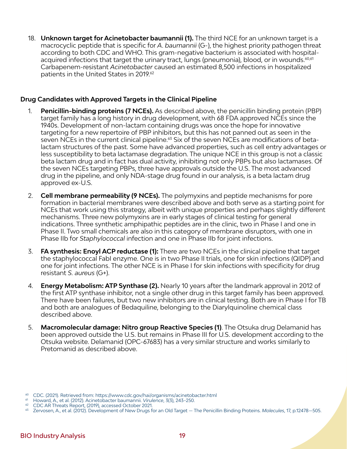18. **Unknown target for Acinetobacter baumannii (1).** The third NCE for an unknown target is a macrocyclic peptide that is specific for *A*. *baumannii* (G-), the highest priority pathogen threat according to both CDC and WHO. This gram-negative bacterium is associated with hospitalacquired infections that target the urinary tract, lungs (pneumonia), blood, or in wounds.<sup>60,61</sup> Carbapenem-resistant *Acinetobacter* caused an estimated 8,500 infections in hospitalized patients in the United States in 2019.<sup>62</sup>

#### **Drug Candidates with Approved Targets in the Clinical Pipeline**

- 1. **Penicillin-binding proteins (7 NCEs).** As described above, the penicillin binding protein (PBP) target family has a long history in drug development, with 68 FDA approved NCEs since the 1940s. Development of non-lactam containing drugs was once the hope for innovative targeting for a new repertoire of PBP inhibitors, but this has not panned out as seen in the seven NCEs in the current clinical pipeline.<sup>63</sup> Six of the seven NCEs are modifications of betalactam structures of the past. Some have advanced properties, such as cell entry advantages or less susceptibility to beta lactamase degradation. The unique NCE in this group is not a classic beta lactam drug and in fact has dual activity, inhibiting not only PBPs but also lactamases. Of the seven NCEs targeting PBPs, three have approvals outside the U.S. The most advanced drug in the pipeline, and only NDA-stage drug found in our analysis, is a beta lactam drug approved ex-U.S.
- 2. **Cell membrane permeability (9 NCEs).** The polymyxins and peptide mechanisms for pore formation in bacterial membranes were described above and both serve as a starting point for NCEs that work using this strategy, albeit with unique properties and perhaps slightly different mechanisms. Three new polymyxins are in early stages of clinical testing for general indications. Three synthetic amphipathic peptides are in the clinic, two in Phase I and one in Phase II. Two small chemicals are also in this category of membrane disruptors, with one in Phase IIb for *Staphylococcal* infection and one in Phase IIb for joint infections.
- 3. **FA synthesis: Enoyl ACP reductase (1):** There are two NCEs in the clinical pipeline that target the staphylococcal FabI enzyme. One is in two Phase II trials, one for skin infections (QIDP) and one for joint infections. The other NCE is in Phase I for skin infections with specificity for drug resistant *S. aureus* (G+).
- 4. **Energy Metabolism: ATP Synthase (2).** Nearly 10 years after the landmark approval in 2012 of the first ATP synthase inhibitor, not a single other drug in this target family has been approved. There have been failures, but two new inhibitors are in clinical testing. Both are in Phase I for TB and both are analogues of Bedaquiline, belonging to the Diarylquinoline chemical class described above.
- 5. **Macromolecular damage: Nitro group Reactive Species (1)**. The Otsuka drug Delamanid has been approved outside the U.S. but remains in Phase III for U.S. development according to the Otsuka website. Delamanid (OPC-67683) has a very similar structure and works similarly to Pretomanid as described above.

<sup>60</sup> CDC. (2021). Retrieved from: https://www.cdc.gov/hai/organisms/acinetobacter.html

<sup>61</sup> Howard, A., et al. (2012). Acinetobacter baumannii. *Virulence*, 3(3), 243–250.

<sup>62</sup> CDC AR Threats Report, (2019), accessed October 2021.

<sup>63</sup> Zervosen, A., et al. (2012). Development of New Drugs for an Old Target — The Penicillin Binding Proteins. *Molecules*, 17, p.12478—505.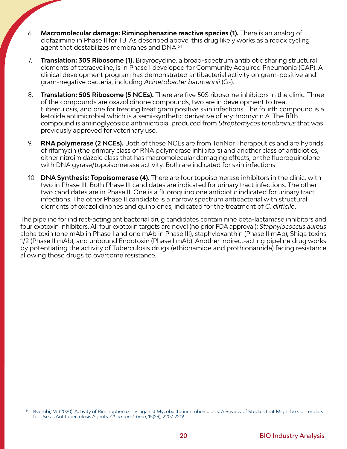- 6. **Macromolecular damage: Riminophenazine reactive species (1).** There is an analog of clofazimine in Phase II for TB. As described above, this drug likely works as a redox cycling agent that destabilizes membranes and DNA.<sup>64</sup>
- 7. **Translation: 30S Ribosome (1).** Bipyrocycline, a broad-spectrum antibiotic sharing structural elements of tetracycline, is in Phase I developed for Community Acquired Pneumonia (CAP). A clinical development program has demonstrated antibacterial activity on gram-positive and gram-negative bacteria, including *Acinetobacter baumannii* (G-).
- 8. **Translation: 50S Ribosome (5 NCEs).** There are five 50S ribosome inhibitors in the clinic. Three of the compounds are oxazolidinone compounds, two are in development to treat tuberculosis, and one for treating treat gram positive skin infections. The fourth compound is a ketolide antimicrobial which is a semi-synthetic derivative of erythromycin A. The fifth compound is aminoglycoside antimicrobial produced from *Streptomyces tenebrarius* that was previously approved for veterinary use.
- 9. **RNA polymerase (2 NCEs).** Both of these NCEs are from TenNor Therapeutics and are hybrids of rifamycin (the primary class of RNA polymerase inhibitors) and another class of antibiotics, either nitroimidazole class that has macromolecular damaging effects, or the fluoroquinolone with DNA gyrase/topoisomerase activity. Both are indicated for skin infections.
- 10. **DNA Synthesis: Topoisomerase (4).** There are four topoisomerase inhibitors in the clinic, with two in Phase III. Both Phase III candidates are indicated for urinary tract infections. The other two candidates are in Phase II. One is a fluoroquinolone antibiotic indicated for urinary tract infections. The other Phase II candidate is a narrow spectrum antibacterial with structural elements of oxazolidinones and quinolones, indicated for the treatment of *C. difficile*.

The pipeline for indirect-acting antibacterial drug candidates contain nine beta-lactamase inhibitors and four exotoxin inhibitors. All four exotoxin targets are novel (no prior FDA approval): *Staphylococcus aureus* alpha toxin (one mAb in Phase I and one mAb in Phase III), staphyloxanthin (Phase II mAb), Shiga toxins 1/2 (Phase II mAb), and unbound Endotoxin (Phase I mAb). Another indirect-acting pipeline drug works by potentiating the activity of Tuberculosis drugs (ethionamide and prothionamide) facing resistance allowing those drugs to overcome resistance.

Bvumbi, M. (2020). Activity of Riminophenazines against Mycobacterium tuberculosis: A Review of Studies that Might be Contenders for Use as Antituberculosis Agents. *Chemmedchem*, 15(23), 2207-2219.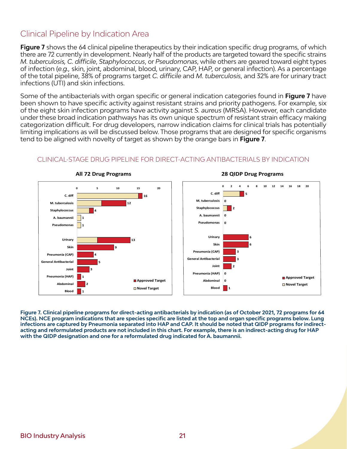#### Clinical Pipeline by Indication Area

**Figure 7** shows the 64 clinical pipeline therapeutics by their indication specific drug programs, of which there are 72 currently in development. Nearly half of the products are targeted toward the specific strains *M. tuberculosis, C. difficile*, *Staphylococcus*, or *Pseudomonas*, while others are geared toward eight types of infection (*e.g.,* skin, joint, abdominal, blood, urinary, CAP, HAP, or general infection). As a percentage of the total pipeline, 38% of programs target *C. difficile* and *M. tuberculosis*, and 32% are for urinary tract infections (UTI) and skin infections.

Some of the antibacterials with organ specific or general indication categories found in **Figure 7** have been shown to have specific activity against resistant strains and priority pathogens. For example, six of the eight skin infection programs have activity against *S. aureus* (MRSA). However, each candidate under these broad indication pathways has its own unique spectrum of resistant strain efficacy making categorization difficult. For drug developers, narrow indication claims for clinical trials has potentially limiting implications as will be discussed below. Those programs that are designed for specific organisms tend to be aligned with novelty of target as shown by the orange bars in **Figure 7**.



### CLINICAL-STAGE DRUG PIPELINE FOR DIRECT-ACTING ANTIBACTERIALS BY INDICATION **Clinical Pipeline by Indica�on**

**2. Some ABX in ex-US trials Figure 7. Clinical pipeline programs for direct-acting antibacterials by indication (as of October 2021, 72 programs for 64 NCEs). NCE program indications that are species specific are listed at the top and organ specific programs below. Lung infections are captured by Pneumonia separated into HAP and CAP. It should be noted that QIDP programs for indirectacting and reformulated products are not included in this chart. For example, there is an indirect-acting drug for HAP with the QIDP designation and one for a reformulated drug indicated for A. baumannii.**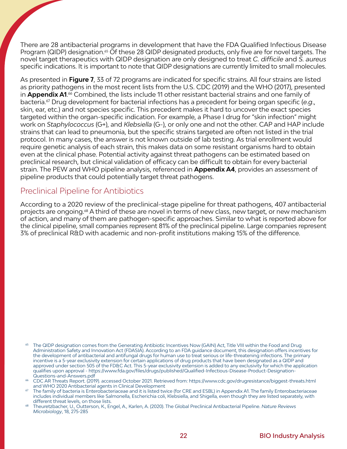There are 28 antibacterial programs in development that have the FDA Qualified Infectious Disease Program (QIDP) designation.<sup>65</sup> Of these 28 QIDP designated products, only five are for novel targets. The novel target therapeutics with QIDP designation are only designed to treat *C. difficile* and *S. aureus* specific indications. It is important to note that QIDP designations are currently limited to small molecules.

As presented in **Figure 7**, 33 of 72 programs are indicated for specific strains. All four strains are listed as priority pathogens in the most recent lists from the U.S. CDC (2019) and the WHO (2017), presented in **Appendix A1**. 66 Combined, the lists include 11 other resistant bacterial strains and one family of bacteria.67 Drug development for bacterial infections has a precedent for being organ specific (*e.g*., skin, ear, etc.) and not species specific. This precedent makes it hard to uncover the exact species targeted within the organ-specific indication. For example, a Phase I drug for "skin infection" might work on *Staphylococcus* (G+), and *Klebsiella* (G-), or only one and not the other. CAP and HAP include strains that can lead to pneumonia, but the specific strains targeted are often not listed in the trial protocol. In many cases, the answer is not known outside of lab testing. As trial enrollment would require genetic analysis of each strain, this makes data on some resistant organisms hard to obtain even at the clinical phase. Potential activity against threat pathogens can be estimated based on preclinical research, but clinical validation of efficacy can be difficult to obtain for every bacterial strain. The PEW and WHO pipeline analysis, referenced in **Appendix A4**, provides an assessment of pipeline products that could potentially target threat pathogens.

#### Preclinical Pipeline for Antibiotics

According to a 2020 review of the preclinical-stage pipeline for threat pathogens, 407 antibacterial projects are ongoing.68 A third of these are novel in terms of new class, new target, or new mechanism of action, and many of them are pathogen-specific approaches. Similar to what is reported above for the clinical pipeline, small companies represent 81% of the preclinical pipeline. Large companies represent 3% of preclinical R&D with academic and non-profit institutions making 15% of the difference.

The QIDP designation comes from the Generating Antibiotic Incentives Now (GAIN) Act, Title VIII within the Food and Drug Administration Safety and Innovation Act (FDASIA). According to an FDA guidance document, this designation offers incentives for the development of antibacterial and antifungal drugs for human use to treat serious or life-threatening infections. The primary incentive is a 5-year exclusivity extension for certain applications of drug products that have been designated as a QIDP and approved under section 505 of the FD&C Act. This 5-year exclusivity extension is added to any exclusivity for which the application qualifies upon approval - https://www.fda.gov/files/drugs/published/Qualified-Infectious-Disease-Product-Designation-Questions-and-Answers.pdf

<sup>66</sup> CDC AR Threats Report. (2019). accessed October 2021. Retrieved from: https://www.cdc.gov/drugresistance/biggest-threats.html and WHO 2020 Antibacterial agents in Clinical Development

 $67$  The family of bacteria is Enterobacteriaceae and it is listed twice (for CRE and ESBL) in Appendix A1. The family Enterobacteriaceae includes individual members like Salmonella, Escherichia coli, Klebsiella, and Shigella, even though they are listed separately, with different threat levels, on those lists.

<sup>68</sup> Theuretzbacher, U., Outterson, K., Engel, A., Karlen, A. (2020). The Global Preclinical Antibacterial Pipeline. *Nature Reviews Microbiology*, 18, 275-285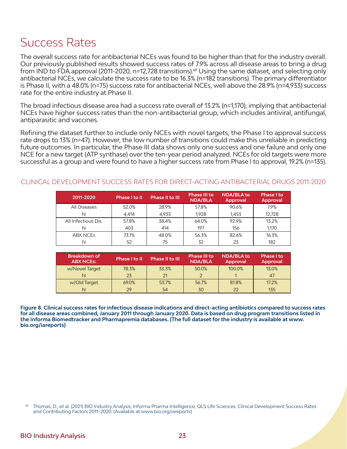### Success Rates

The overall success rate for antibacterial NCEs was found to be higher than that for the industry overall. Our previously published results showed success rates of 7.9% across all disease areas to bring a drug from IND to FDA approval (2011-2020, n=12,728 transitions).<sup>69</sup> Using the same dataset, and selecting only antibacterial NCEs, we calculate the success rate to be 16.3% (n=182 transitions). The primary differentiator is Phase II, with a 48.0% (n=75) success rate for antibacterial NCEs, well above the 28.9% (n=4,933) success rate for the entire industry at Phase II.

The broad infectious disease area had a success rate overall of 13.2% (n=1,170), implying that antibacterial NCEs have higher success rates than the non-antibacterial group, which includes antiviral, antifungal, antiparasitic and vaccines.

Refining the dataset further to include only NCEs with novel targets, the Phase I to approval success rate drops to 13% (n=47). However, the low number of transitions could make this unreliable in predicting future outcomes. In particular, the Phase III data shows only one success and one failure and only one NCE for a new target (ATP synthase) over the ten-year period analyzed. NCEs for old targets were more successful as a group and were found to have a higher success rate from Phase I to approval, 19.2% (n=135).

#### CLINICAL DEVELOPMENT SUCCESS RATES FOR DIRECT-ACTING ANTIBACTERIAL DRUGS 2011-2020

| 2011-2020           | Phase I to II | Phase II to III | <b>Phase III to</b><br><b>NDA/BLA</b> | NDA/BLA to<br><b>Approval</b> | Phase I to<br><b>Approval</b> |
|---------------------|---------------|-----------------|---------------------------------------|-------------------------------|-------------------------------|
| All Diseases        | 52.0%         | 28.9%           | 57.8%                                 | 90.6%                         | 79%                           |
| N                   | 4.414         | 4.933           | 1.928                                 | 1,453                         | 12,728                        |
| All Infectious Dis. | 57.8%         | 38.4%           | 64.0%                                 | 92.9%                         | 13.2%                         |
| N                   | 403           | 414             | 197                                   | 156                           | 1,170                         |
| <b>ABX NCES</b>     | 73.1%         | 48.0%           | 56.3%                                 | 82.6%                         | 16.3%                         |
| N                   | 52            | 75              | 32                                    | 23                            | 182                           |

| 'Breakdown of 』<br><b>ABX NCEs:</b> | Phase I to II | Phase II to III | <b>Phase III to</b><br><b>NDA/BLA</b> | <b>NDA/BLA to</b><br><b>Approval</b> | Phase I to<br><b>Approval</b> |
|-------------------------------------|---------------|-----------------|---------------------------------------|--------------------------------------|-------------------------------|
| w/Novel Target                      | 78.3%         | 33.3%           | 50.0%                                 | 100.0%                               | 13.0%                         |
| N                                   | 23            | 21              |                                       |                                      | 47                            |
| w/Old Target                        | 69.0%         | 53.7%           | 56.7%                                 | 81.8%                                | 17.2%                         |
| N                                   | 29            | 54              | 30                                    | $22^{\circ}$                         | 135                           |

**Figure 8. Clinical success rates for infectious disease indications and direct-acting antibiotics compared to success rates for all disease areas combined, January 2011 through January 2020. Data is based on drug program transitions listed in the Informa Biomedtracker and Pharmapremia databases. (The full dataset for the industry is available at www. bio.org/iareports)**

Thomas, D., et al. (2021) BIO Industry Analysis, Informa Pharma Intelligence, QLS Life Sciences. Clinical Development Success Rates and Contributing Factors 2011–2020. (Available at www.bio.org/iareports)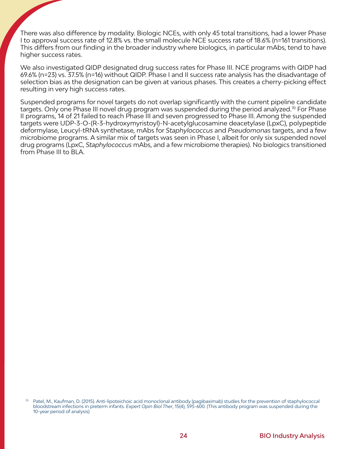There was also difference by modality. Biologic NCEs, with only 45 total transitions, had a lower Phase I to approval success rate of 12.8% vs. the small molecule NCE success rate of 18.6% (n=161 transitions). This differs from our finding in the broader industry where biologics, in particular mAbs, tend to have higher success rates.

We also investigated QIDP designated drug success rates for Phase III. NCE programs with QIDP had 69.6% (n=23) vs. 37.5% (n=16) without QIDP. Phase I and II success rate analysis has the disadvantage of selection bias as the designation can be given at various phases. This creates a cherry-picking effect resulting in very high success rates.

Suspended programs for novel targets do not overlap significantly with the current pipeline candidate targets. Only one Phase III novel drug program was suspended during the period analyzed.<sup>70</sup> For Phase II programs, 14 of 21 failed to reach Phase III and seven progressed to Phase III. Among the suspended targets were UDP-3-O-(R-3-hydroxymyristoyl)-N-acetylglucosamine deacetylase (LpxC), polypeptide deformylase, Leucyl-tRNA synthetase, mAbs for *Staphylococcus* and *Pseudomonas* targets, and a few microbiome programs. A similar mix of targets was seen in Phase I, albeit for only six suspended novel drug programs (LpxC, *Staphylococcus* mAbs, and a few microbiome therapies). No biologics transitioned from Phase III to BLA.

Patel, M., Kaufman, D. (2015). Anti-lipoteichoic acid monoclonal antibody (pagibaximab) studies for the prevention of staphylococcal bloodstream infections in preterm infants. *Expert Opin Biol Ther*, 15(4), 595-600. (This antibody program was suspended during the 10-year period of analysis)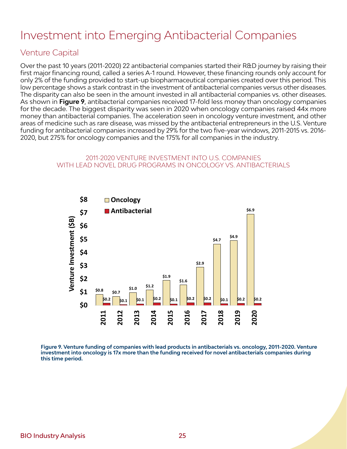# Investment into Emerging Antibacterial Companies

#### Venture Capital

Over the past 10 years (2011-2020) 22 antibacterial companies started their R&D journey by raising their first major financing round, called a series A-1 round. However, these financing rounds only account for only 2% of the funding provided to start-up biopharmaceutical companies created over this period. This low percentage shows a stark contrast in the investment of antibacterial companies versus other diseases. The disparity can also be seen in the amount invested in all antibacterial companies vs. other diseases. As shown in **Figure 9**, antibacterial companies received 17-fold less money than oncology companies for the decade. The biggest disparity was seen in 2020 when oncology companies raised 44x more money than antibacterial companies. The acceleration seen in oncology venture investment, and other areas of medicine such as rare disease, was missed by the antibacterial entrepreneurs in the U.S. Venture funding for antibacterial companies increased by 29% for the two five-year windows, 2011-2015 vs. 2016- 2020, but 275% for oncology companies and the 175% for all companies in the industry.

#### 2011-2020 VENTURE INVESTMENT INTO U.S. COMPANIES WITH LEAD NOVEL DRUG PROGRAMS IN ONCOLOGY VS. ANTIBACTERIALS



**Figure 9. Venture funding of companies with lead products in antibacterials vs. oncology, 2011-2020. Venture investment into oncology is 17x more than the funding received for novel antibacterials companies during this time period.**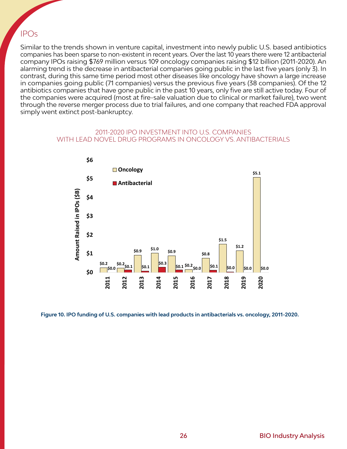#### IPOs

Similar to the trends shown in venture capital, investment into newly public U.S. based antibiotics companies has been sparse to non-existent in recent years. Over the last 10 years there were 12 antibacterial company IPOs raising \$769 million versus 109 oncology companies raising \$12 billion (2011-2020). An alarming trend is the decrease in antibacterial companies going public in the last five years (only 3). In contrast, during this same time period most other diseases like oncology have shown a large increase in companies going public (71 companies) versus the previous five years (38 companies). Of the 12 antibiotics companies that have gone public in the past 10 years, only five are still active today. Four of the companies were acquired (most at fire-sale valuation due to clinical or market failure), two went through the reverse merger process due to trial failures, and one company that reached FDA approval simply went extinct post-bankruptcy.

#### 2011-2020 IPO INVESTMENT INTO U.S. COMPANIES WITH LEAD NOVEL DRUG PROGRAMS IN ONCOLOGY VS. ANTIBACTERIALS



**Figure 10. IPO funding of U.S. companies with lead products in antibacterials vs. oncology, 2011-2020.**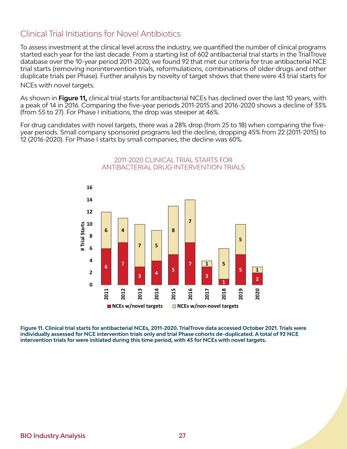#### Clinical Trial Initiations for Novel Antibiotics

To assess investment at the clinical level across the industry, we quantified the number of clinical programs started each year for the last decade. From a starting list of 602 antibacterial trial starts in the TrialTrove database over the 10-year period 2011-2020, we found 92 that met our criteria for true antibacterial NCE trial starts (removing nonintervention trials, reformulations, combinations of older drugs and other duplicate trials per Phase). Further analysis by novelty of target shows that there were 43 trial starts for NCEs with novel targets.

As shown in **Figure 11,** clinical trial starts for antibacterial NCEs has declined over the last 10 years, with a peak of 14 in 2016. Comparing the five-year periods 2011-2015 and 2016-2020 shows a decline of 33% (from 55 to 27). For Phase I initiations, the drop was steeper at 46%.

For drug candidates with novel targets, there was a 28% drop (from 25 to 18) when comparing the fiveyear periods. Small company sponsored programs led the decline, dropping 45% from 22 (2011-2015) to 12 (2016-2020). For Phase I starts by small companies, the decline was 60%.



2011-2020 CLINICAL TRIAL STARTS FOR ANTIBACTERIAL DRUG INTERVENTION TRIALS

**Figure 11. Clinical trial starts for antibacterial NCEs, 2011-2020. TrialTrove data accessed October 2021. Trials were individually assessed for NCE intervention trials only and trial Phase cohorts de-duplicated. A total of 92 NCE intervention trials for were initiated during this time period, with 43 for NCEs with novel targets.**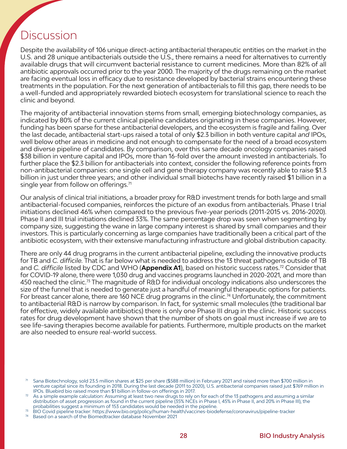### Discussion

Despite the availability of 106 unique direct-acting antibacterial therapeutic entities on the market in the U.S. and 28 unique antibacterials outside the U.S., there remains a need for alternatives to currently available drugs that will circumvent bacterial resistance to current medicines. More than 82% of all antibiotic approvals occurred prior to the year 2000. The majority of the drugs remaining on the market are facing eventual loss in efficacy due to resistance developed by bacterial strains encountering these treatments in the population. For the next generation of antibacterials to fill this gap, there needs to be a well-funded and appropriately rewarded biotech ecosystem for translational science to reach the clinic and beyond.

The majority of antibacterial innovation stems from small, emerging biotechnology companies, as indicated by 80% of the current clinical pipeline candidates originating in these companies. However, funding has been sparse for these antibacterial developers, and the ecosystem is fragile and failing. Over the last decade, antibacterial start-ups raised a total of only \$2.3 billion in both venture capital *and* IPOs, well below other areas in medicine and not enough to compensate for the need of a broad ecosystem and diverse pipeline of candidates. By comparison, over this same decade oncology companies raised \$38 billion in venture capital and IPOs, more than 16-fold over the amount invested in antibacterials. To further place the \$2.3 billion for antibacterials into context, consider the following reference points from non-antibacterial companies: one single cell and gene therapy company was recently able to raise \$1.3 billion in just under three years; and other individual small biotechs have recently raised \$1 billion in a single year from follow on offerings.<sup>71</sup>

Our analysis of clinical trial initiations, a broader proxy for R&D investment trends for both large and small antibacterial-focused companies, reinforces the picture of an exodus from antibacterials. Phase I trial initiations declined 46% when compared to the previous five-year periods (2011-2015 vs. 2016-2020). Phase II and III trial initiations declined 33%. The same percentage drop was seen when segmenting by company size, suggesting the wane in large company interest is shared by small companies and their investors. This is particularly concerning as large companies have traditionally been a critical part of the antibiotic ecosystem, with their extensive manufacturing infrastructure and global distribution capacity.

There are only 44 drug programs in the current antibacterial pipeline, excluding the innovative products for TB and *C. difficile.* That is far below what is needed to address the 13 threat pathogens outside of TB and *C. difficile* listed by CDC and WHO (**Appendix A1**), based on historic success rates.72 Consider that for COVID-19 alone, there were 1,030 drug and vaccines programs launched in 2020-2021, and more than 450 reached the clinic.73 The magnitude of R&D for individual oncology indications also underscores the size of the funnel that is needed to generate just a handful of meaningful therapeutic options for patients. For breast cancer alone, there are 160 NCE drug programs in the clinic.<sup>74</sup> Unfortunately, the commitment to antibacterial R&D is narrow by comparison. In fact, for systemic small molecules (the traditional bar for effective, widely available antibiotics) there is only one Phase III drug in the clinic. Historic success rates for drug development have shown that the number of shots on goal must increase if we are to see life-saving therapies become available for patients. Furthermore, multiple products on the market are also needed to ensure real-world success.

Sana Biotechnology, sold 23.5 million shares at \$25 per share (\$588 million) in February 2021 and raised more than \$700 million in venture capital since its founding in 2018. During the last decade (2011 to 2020), U.S. antibacterial companies raised just \$769 million in IPOs. Bluebird bio raised more than \$1 billion in follow-on offerings in 2017.

As a simple example calculation: Assuming at least two new drugs to rely on for each of the 13 pathogens and assuming a similar distribution of asset progression as found in the current pipeline (35% NCEs in Phase I, 45% in Phase II, and 20% in Phase III), the probabilities suggest a minimum of 153 candidates would be needed in the pipeline.

<sup>73</sup> BIO Covid pipeline tracker: https://www.bio.org/policy/human-health/vaccines-biodefense/coronavirus/pipeline-tracker

Based on a search of the Biomedtracker database November 2021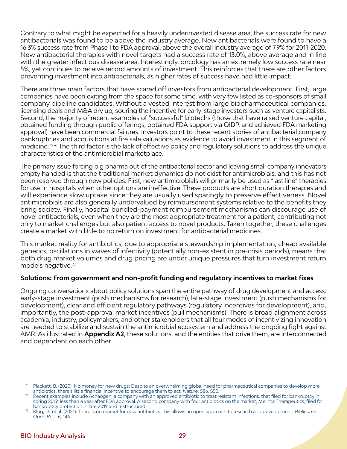Contrary to what might be expected for a heavily underinvested disease area, the success rate for new antibacterials was found to be above the industry average. New antibacterials were found to have a 16.3% success rate from Phase I to FDA approval, above the overall industry average of 7.9% for 2011-2020. New antibacterial therapies with novel targets had a success rate of 13.0%, above average and in line with the greater infectious disease area. Interestingly, oncology has an extremely low success rate near 5%, yet continues to receive record amounts of investment. This reinforces that there are other factors preventing investment into antibacterials, as higher rates of success have had little impact.

There are three main factors that have scared off investors from antibacterial development. First, large companies have been exiting from the space for some time, with very few listed as co-sponsors of small company pipeline candidates. Without a vested interest from large biopharmaceutical companies, licensing deals and M&A dry up, souring the incentive for early-stage investors such as venture capitalists. Second, the majority of recent examples of "successful" biotechs (those that have raised venture capital, obtained funding through public offerings, obtained FDA support via QIDP, and achieved FDA marketing approval) have been commercial failures. Investors point to these recent stories of antibacterial company bankruptcies and acquisitions at fire sale valuations as evidence to avoid investment in this segment of medicine.75,76 The third factor is the lack of effective policy and regulatory solutions to address the unique characteristics of the antimicrobial marketplace.

The primary issue forcing big pharma out of the antibacterial sector and leaving small company innovators empty handed is that the traditional market dynamics do not exist for antimicrobials, and this has not been resolved through new policies. First, new antimicrobials will primarily be used as "last line" therapies for use in hospitals when other options are ineffective. These products are short duration therapies and will experience slow uptake since they are usually used sparingly to preserve effectiveness. Novel antimicrobials are also generally undervalued by reimbursement systems relative to the benefits they bring society. Finally, hospital bundled-payment reimbursement mechanisms can discourage use of novel antibacterials, even when they are the most appropriate treatment for a patient, contributing not only to market challenges but also patient access to novel products. Taken together, these challenges create a market with little to no return on investment for antibacterial medicines.

This market reality for antibiotics, due to appropriate stewardship implementation, cheap available generics, oscillations in waves of infectivity (potentially non-existent in pre-crisis periods), means that both drug market volumes and drug pricing are under unique pressures that turn investment return models negative.77

#### **Solutions: From government and non-profit funding and regulatory incentives to market fixes**

Ongoing conversations about policy solutions span the entire pathway of drug development and access: early-stage investment (push mechanisms for research), late-stage investment (push mechanisms for development), clear and efficient regulatory pathways (regulatory incentives for development), and, importantly, the post-approval market incentives (pull mechanisms). There is broad alignment across academia, industry, policymakers, and other stakeholders that all four modes of incentivizing innovation are needed to stabilize and sustain the antimicrobial ecosystem and address the ongoing fight against AMR. As illustrated in **Appendix A2**, these solutions, and the entities that drive them, are interconnected and dependent on each other.

 $75$  Plackett, B. (2020). No money for new drugs: Despite an overwhelming global need for pharmaceutical companies to develop more antibiotics, there's little financial incentive to encourage them to act. Nature, 586, S50.<br>Recent examples include Achaogen, a company with an approved antibiotic to treat resistant Infections, that filed for bankruptcy i

spring 2019, less than a year after FDA approval. A second company with four antibiotics on the market, Melinta Therapeutics, filed for bankruptcy protection in late 2019 and restructured.

<sup>77</sup> Klug, D., et al. (2021). There is no market for new antibiotics: this allows an open approach to research and development. *Wellcome Open Res*., 6, 146.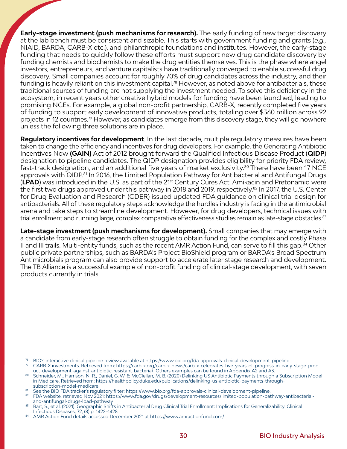**Early-stage investment (push mechanisms for research).** The early funding of new target discovery at the lab bench must be consistent and sizable. This starts with government funding and grants (*e.g.,* NIAID, BARDA, CARB-X etc.), and philanthropic foundations and institutes. However, the early-stage funding that needs to quickly follow these efforts must support new drug candidate discovery by funding chemists and biochemists to make the drug entities themselves. This is the phase where angel investors, entrepreneurs, and venture capitalists have traditionally converged to enable successful drug discovery. Small companies account for roughly 70% of drug candidates across the industry, and their funding is heavily reliant on this investment capital.<sup>78</sup> However, as noted above for antibacterials, these traditional sources of funding are not supplying the investment needed. To solve this deficiency in the ecosystem, in recent years other creative hybrid models for funding have been launched, leading to promising NCEs. For example, a global non-profit partnership, CARB-X, recently completed five years of funding to support early development of innovative products, totaling over \$360 million across 92 projects in 12 countries.<sup>79</sup> However, as candidates emerge from this discovery stage, they will go nowhere unless the following three solutions are in place.

**Regulatory incentives for development**. In the last decade, multiple regulatory measures have been taken to change the efficiency and incentives for drug developers. For example, the Generating Antibiotic Incentives Now **(GAIN)** Act of 2012 brought forward the Qualified Infectious Disease Product (**QIDP**) designation to pipeline candidates. The QIDP designation provides eligibility for priority FDA review, fast-track designation, and an additional five years of market exclusivity.<sup>80</sup> There have been 17 NCE approvals with QIDP.<sup>81</sup> In 2016, the Limited Population Pathway for Antibacterial and Antifungal Drugs (**LPAD**) was introduced in the U.S. as part of the 21st Century Cures Act. Amikacin and Pretonamid were the first two drugs approved under this pathway in 2018 and 2019, respectively.<sup>82</sup> In 2017, the U.S. Center for Drug Evaluation and Research (CDER) issued updated FDA guidance on clinical trial design for antibacterials. All of these regulatory steps acknowledge the hurdles industry is facing in the antimicrobial arena and take steps to streamline development. However, for drug developers, technical issues with trial enrollment and running large, complex comparative effectiveness studies remain as late-stage obstacles. $^{\rm 83}$ 

**Late-stage investment (push mechanisms for development).** Small companies that may emerge with a candidate from early-stage research often struggle to obtain funding for the complex and costly Phase II and III trails. Multi-entity funds, such as the recent AMR Action Fund, can serve to fill this gap.<sup>84</sup> Other public private partnerships, such as BARDA's Project BioShield program or BARDA's Broad Spectrum Antimicrobials program can also provide support to accelerate later stage research and development. The TB Alliance is a successful example of non-profit funding of clinical-stage development, with seven products currently in trials.

- <sup>78</sup> BIO's interactive clinical pipeline review available at https://www.bio.org/fda-approvals-clinical-development-pipeline
- <sup>79</sup> CARB-X investments. Retrieved from: [https://carb-x.org/carb-x-news/carb-x-celebrates-five-years-of-progress-in-early-stage-prod](https://carb-x.org/carb-x-news/carb-x-celebrates-five-years-of-progress-in-early-stage-product-development-against-antibiotic-resistant-bacteria/)uct-development-against-antibiotic-resistant-bacteria<sup>7</sup>. Others examples can be found in Appendix A2 and A3.
- 80 Schneider, M., Harrison, N. R., Daniel, G. W. & McClellan, M. B. (2020) Delinking US Antibiotic Payments through a Subscription Model in Medicare. Retrieved from: https://healthpolicy.duke.edu/publications/delinking-us-antibiotic-payments-throughsubscription-model-medicare
- 81 See the BIO FDA tracker's regulatory filter: https://www.bio.org/fda-approvals-clinical-development-pipeline.
- <sup>82</sup> FDA website, retrieved Nov 2021: https://www.fda.gov/drugs/development-resources/limited-population-pathway-antibacterialand-antifungal-drugs-lpad-pathway
- 83 Bart, S., et al. (2021). Geographic Shifts in Antibacterial Drug Clinical Trial Enrollment: Implications for Generalizability. Clinical Infectious Diseases, 72, (8) p. 1422–1428
- 84 AMR Action Fund details accessed December 2021 at https://www.amractionfund.com/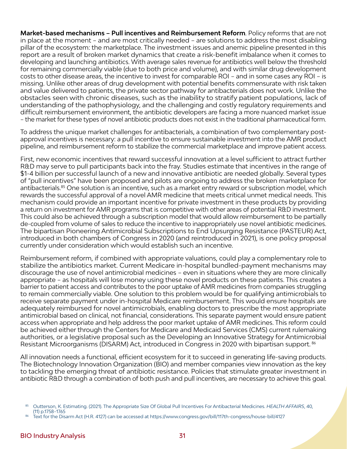**Market-based mechanisms – Pull incentives and Reimbursement Reform**. Policy reforms that are not in place at the moment – and are most critically needed – are solutions to address the most disabling pillar of the ecosystem: the marketplace. The investment issues and anemic pipeline presented in this report are a result of broken market dynamics that create a risk-benefit imbalance when it comes to developing and launching antibiotics. With average sales revenue for antibiotics well below the threshold for remaining commercially viable (due to both price and volume), and with similar drug development costs to other disease areas, the incentive to invest for comparable ROI – and in some cases any ROI – is missing. Unlike other areas of drug development with potential benefits commensurate with risk taken and value delivered to patients, the private sector pathway for antibacterials does not work. Unlike the obstacles seen with chronic diseases, such as the inability to stratify patient populations, lack of understanding of the pathophysiology, and the challenging and costly regulatory requirements and difficult reimbursement environment, the antibiotic developers are facing a more nuanced market issue – the market for these types of novel antibiotic products does not exist in the traditional pharmaceutical form.

To address the unique market challenges for antibacterials, a combination of two complementary postapproval incentives is necessary: a pull incentive to ensure sustainable investment into the AMR product pipeline, and reimbursement reform to stabilize the commercial marketplace and improve patient access.

First, new economic incentives that reward successful innovation at a level sufficient to attract further R&D may serve to pull participants back into the fray. Studies estimate that incentives in the range of \$1-4 billion per successful launch of a new and innovative antibiotic are needed globally. Several types of "pull incentives" have been proposed and pilots are ongoing to address the broken marketplace for antibacterials.85 One solution is an incentive, such as a market entry reward or subscription model, which rewards the successful approval of a novel AMR medicine that meets critical unmet medical needs. This mechanism could provide an important incentive for private investment in these products by providing a return on investment for AMR programs that is competitive with other areas of potential R&D investment. This could also be achieved through a subscription model that would allow reimbursement to be partially de-coupled from volume of sales to reduce the incentive to inappropriately use novel antibiotic medicines. The bipartisan Pioneering Antimicrobial Subscriptions to End Upsurging Resistance (PASTEUR) Act, introduced in both chambers of Congress in 2020 (and reintroduced in 2021), is one policy proposal currently under consideration which would establish such an incentive.

Reimbursement reform, if combined with appropriate valuations, could play a complementary role to stabilize the antibiotics market. Current Medicare in-hospital bundled-payment mechanisms may discourage the use of novel antimicrobial medicines – even in situations where they are more clinically appropriate – as hospitals will lose money using these novel products on these patients. This creates a barrier to patient access and contributes to the poor uptake of AMR medicines from companies struggling to remain commercially viable. One solution to this problem would be for qualifying antimicrobials to receive separate payment under in-hospital Medicare reimbursement. This would ensure hospitals are adequately reimbursed for novel antimicrobials, enabling doctors to prescribe the most appropriate antimicrobial based on clinical, not financial, considerations. This separate payment would ensure patient access when appropriate and help address the poor market uptake of AMR medicines. This reform could be achieved either through the Centers for Medicare and Medicaid Services (CMS) current rulemaking authorities, or a legislative proposal such as the Developing an Innovative Strategy for Antimicrobial Resistant Microorganisms (DISARM) Act, introduced in Congress in 2020 with bipartisan support. <sup>86</sup>

All innovation needs a functional, efficient ecosystem for it to succeed in generating life-saving products. The Biotechnology Innovation Organization (BIO) and member companies view innovation as the key to tackling the emerging threat of antibiotic resistance. Policies that stimulate greater investment in antibiotic R&D through a combination of both push and pull incentives, are necessary to achieve this goal.

<sup>85</sup> Outterson, K. Estimating. (2021). The Appropriate Size Of Global Pull Incentives For Antibacterial Medicines. *HEALTH AFFAIRS*, 40, (11) p.1758–1765<br>Text for the Disarm Act (H.R. 4127) can be accessed at https://www.congress.gov/bill/117th-congress/house-bill/4127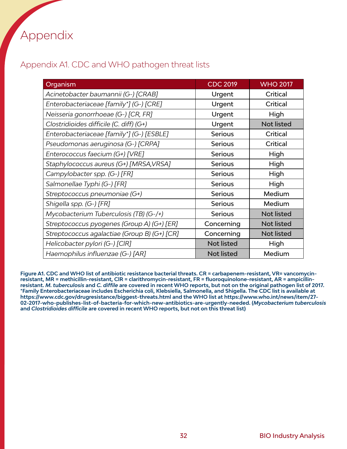# Appendix

#### Appendix A1. CDC and WHO pathogen threat lists

| Organism                                     | <b>CDC 2019</b>   | <b>WHO 2017</b>   |
|----------------------------------------------|-------------------|-------------------|
| Acinetobacter baumannii (G-) [CRAB]          | Urgent            | Critical          |
| Enterobacteriaceae [family*] (G-) [CRE]      | Urgent            | Critical          |
| Neisseria gonorrhoeae (G-) [CR, FR]          | Urgent            | High              |
| Clostridioides difficile (C. diff) (G+)      | Urgent            | Not listed        |
| Enterobacteriaceae [family*] (G-) [ESBLE]    | <b>Serious</b>    | Critical          |
| Pseudomonas aeruginosa (G-) [CRPA]           | <b>Serious</b>    | Critical          |
| Enterococcus faecium (G+) [VRE]              | <b>Serious</b>    | High              |
| Staphylococcus aureus (G+) [MRSA, VRSA]      | <b>Serious</b>    | High              |
| Campylobacter spp. (G-) [FR]                 | <b>Serious</b>    | High              |
| Salmonellae Typhi (G-) [FR]                  | <b>Serious</b>    | High              |
| Streptococcus pneumoniae (G+)                | <b>Serious</b>    | Medium            |
| Shigella spp. (G-) [FR]                      | <b>Serious</b>    | Medium            |
| Mycobacterium Tuberculosis (TB) (G-/+)       | <b>Serious</b>    | Not listed        |
| Streptococcus pyogenes (Group A) (G+) [ER]   | Concerning        | <b>Not listed</b> |
| Streptococcus agalactiae (Group B) (G+) [CR] | Concerning        | Not listed        |
| Helicobacter pylori (G-) [CIR]               | <b>Not listed</b> | High              |
| Haemophilus influenzae (G-) [AR]             | <b>Not listed</b> | Medium            |

**Figure A1. CDC and WHO list of antibiotic resistance bacterial threats. CR = carbapenem-resistant, VR= vancomycinresistant, MR = methicillin-resistant, ClR = clarithromycin-resistant, FR = fluoroquinolone-resistant, AR = ampicillinresistant.** *M. tuberculosis* **and** *C. diffile* **are covered in recent WHO reports, but not on the original pathogen list of 2017. \*Family Enterobacteriaceae includes Escherichia coli, Klebsiella, Salmonella, and Shigella. The CDC list is available at <https://www.cdc.gov/drugresistance/biggest-threats.html> and the WHO list at https://www.who.int/news/item/27- 02-2017-who-publishes-list-of-bacteria-for-which-new-antibiotics-are-urgently-needed. (***Mycobacterium tuberculosis*  **and** *Clostridioides difficile* **are covered in recent WHO reports, but not on this threat list)**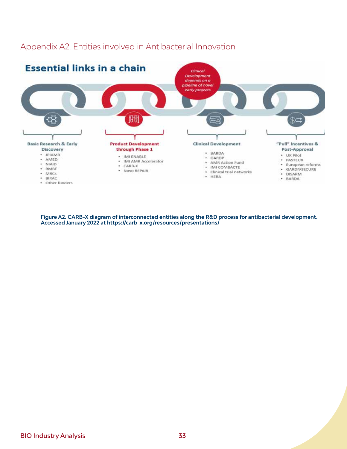

Appendix A2. Entities involved in Antibacterial Innovation

**Figure A2. CARB-X diagram of interconnected entities along the R&D process for antibacterial development. Accessed January 2022 at https://carb-x.org/resources/presentations/**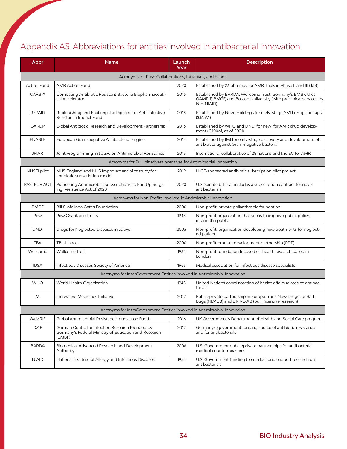### Appendix A3. Abbreviations for entities involved in antibacterial innovation

| Abbr                                                                       | <b>Name</b>                                                                                                       | Launch<br>Year | <b>Description</b>                                                                                                                             |  |  |  |
|----------------------------------------------------------------------------|-------------------------------------------------------------------------------------------------------------------|----------------|------------------------------------------------------------------------------------------------------------------------------------------------|--|--|--|
|                                                                            | Acronyms for Push Collaborations, Initiatives, and Funds                                                          |                |                                                                                                                                                |  |  |  |
| <b>Action Fund</b>                                                         | <b>AMR Action Fund</b>                                                                                            | 2020           | Established by 23 pharmas for AMR trials in Phase II and III (\$1B)                                                                            |  |  |  |
| CARB-X                                                                     | Combating Antibiotic Resistant Bacteria Biopharmaceuti-<br>cal Accelerator                                        | 2016           | Established by BARDA, Wellcome Trust, Germany's BMBF, UK's<br>GAMRIF, BMGF, and Boston Uniiversity (with preclinical services by<br>NIH NIAID) |  |  |  |
| <b>REPAIR</b>                                                              | Replenishing and Enabling the Pipeline for Anti-Infective<br>Resistance Impact Fund                               | 2018           | Established by Novo Holdings for early-stage AMR drug start-ups<br>(\$165M)                                                                    |  |  |  |
| GARDP                                                                      | Global Antibiotic Research and Development Partnership                                                            | 2016           | Established by WHO and DNDi for new for AMR drug develop-<br>ment (€100M, as of 2021)                                                          |  |  |  |
| <b>ENABLE</b>                                                              | European Gram-negative Antibacterial Engine                                                                       | 2014           | Established by IMI for early-stage discovery and development of<br>antibiotics against Gram-negative bacteria                                  |  |  |  |
| <b>JPIAR</b>                                                               | Joint Programming Initiative on Antimicrobial Resistance                                                          | 2013           | International collaborative of 28 nations and the EC for AMR                                                                                   |  |  |  |
|                                                                            | Acronyms for Pull Initiatives/Incentives for Antimicrobial Innovation                                             |                |                                                                                                                                                |  |  |  |
| NHSEI pilot                                                                | NHS England and NHS Improvement pilot study for<br>antibiotic subscription model                                  | 2019           | NICE-sponsored antibiotic subscription pilot project                                                                                           |  |  |  |
| <b>PASTEUR ACT</b>                                                         | Pioneering Antimicrobial Subscriptions To End Up Surg-<br>ing Resistance Act of 2020                              | 2020           | U.S. Senate bill that includes a subscription contract for novel<br>antibacterials                                                             |  |  |  |
|                                                                            | Acronyms for Non-Profits involved in Antimicrobial Innovation                                                     |                |                                                                                                                                                |  |  |  |
| <b>BMGF</b>                                                                | Bill & Melinda Gates Foundation                                                                                   | 2000           | Non-profit, private philanthropic foundation                                                                                                   |  |  |  |
| Pew                                                                        | Pew Charitable Trusts                                                                                             | 1948           | Non-profit organization that seeks to improve public policy,<br>inform the public                                                              |  |  |  |
| <b>DNDi</b>                                                                | Drugs for Neglected Diseases initiative                                                                           | 2003           | Non-profit organization developing new treatments for neglect-<br>ed patients                                                                  |  |  |  |
| <b>TBA</b>                                                                 | TB allliance                                                                                                      | 2000           | Non-profit product development partnership (PDP)                                                                                               |  |  |  |
| Wellcome                                                                   | Wellcome Trust                                                                                                    | 1936           | Non-profit foundation focused on health research based in<br>London                                                                            |  |  |  |
| <b>IDSA</b>                                                                | Infectious Diseases Society of America                                                                            | 1963           | Medical association for infectious disease specialists                                                                                         |  |  |  |
|                                                                            | Acronyms for InterGovernment Entities involved in Antimicrobial Innovation                                        |                |                                                                                                                                                |  |  |  |
| <b>WHO</b>                                                                 | World Health Organization                                                                                         | 1948           | United Nations coordinatation of health affairs related to antibac-<br>terials                                                                 |  |  |  |
| IMI                                                                        | Innovative Medicines Initiative                                                                                   | 2012           | Public-private partnership in Europe, runs New Drugs for Bad<br>Bugs (ND4BB) and DRIVE-AB (pull incentive research)                            |  |  |  |
| Acronyms for IntraGovernment Entities involved in Antimicrobial Innovation |                                                                                                                   |                |                                                                                                                                                |  |  |  |
| <b>GAMRIF</b>                                                              | Global Antimicrobial Resistance Innovation Fund                                                                   | 2016           | UK Government's Department of Health and Social Care program                                                                                   |  |  |  |
| <b>DZIF</b>                                                                | German Centre for Infection Research founded by<br>Germany's Federal Ministry of Education and Research<br>(BMBF) | 2012           | Germany's government funding source of antibiotic resistance<br>and for antibacterials                                                         |  |  |  |
| <b>BARDA</b>                                                               | Biomedical Advanced Research and Development<br>Authority                                                         | 2006           | U.S. Government public/private partnerships for antibacterial<br>medical countermeasures                                                       |  |  |  |
| <b>NIAID</b>                                                               | National Institute of Allergy and Infectious Diseases                                                             | 1955           | U.S. Government funding to conduct and support research on<br>antibacterials                                                                   |  |  |  |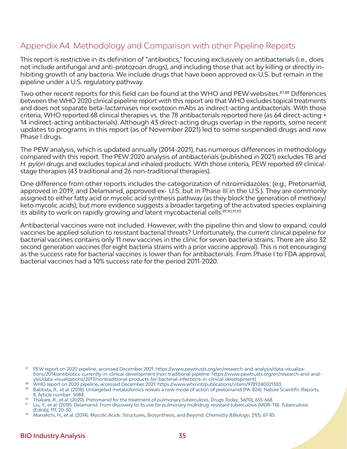#### Appendix A4. Methodology and Comparison with other Pipeline Reports

This report is restrictive in its definition of "antibiotics," focusing exclusively on antibacterials (i.e., does not include antifungal and anti-protozoan drugs), and including those that act by killing or directly inhibiting growth of any bacteria. We include drugs that have been approved ex-U.S. but remain in the pipeline under a U.S. regulatory pathway.

Two other recent reports for this field can be found at the WHO and PEW websites.<sup>87,88</sup> Differences between the WHO 2020 clinical pipeline report with this report are that WHO excludes topical treatments and does not separate beta-lactamases nor exotoxin mAbs as indirect-acting antibacterials. With those criteria, WHO reported 68 clinical therapies vs. the 78 antibacterials reported here (as 64 direct-acting + 14 indirect-acting antibacterials). Although 43 direct-acting drugs overlap in the reports, some recent updates to programs in this report (as of November 2021) led to some suspended drugs and new Phase I drugs.

The PEW analysis, which is updated annually (2014-2021), has numerous differences in methodology compared with this report. The PEW 2020 analysis of antibacterials (published in 2021) excludes TB and *H. pylori* drugs and excludes topical and inhaled products. With those criteria, PEW reported 69 clinicalstage therapies (43 traditional and 26 non-traditional therapies).

One difference from other reports includes the categorization of nitroimidazoles: (e.g., Pretonamid, approved in 2019, and Delamanid, approved ex- U.S. but in Phase III in the U.S.). They are commonly assigned to either fatty acid or mycolic acid synthesis pathway (as they block the generation of methoxy/ keto mycolic acids), but more evidence suggests a broader targeting of the activated species explaining its ability to work on rapidly growing *and* latent mycobacterial cells.89,90,91,92

Antibacterial vaccines were not included. However, with the pipeline thin and slow to expand, could vaccines be applied solution to resistant bacterial threats? Unfortunately, the current clinical pipeline for bacterial vaccines contains only 11 new vaccines in the clinic for seven bacteria strains. There are also 32 second generation vaccines (for eight bacteria strains with a prior vaccine approval). This is not encouraging as the success rate for bacterial vaccines is lower than for antibacterials. From Phase I to FDA approval, bacterial vaccines had a 10% success rate for the period 2011-2020.

<sup>87</sup> PEW report on 2020 pipeline, accessed December 2021: [https://www.pewtrusts.org/en/research-and-analysis/data-visualiza](https://www.pewtrusts.org/en/research-and-analysis/data-visualizations/2014/antibiotics-currently-in-clinical-development)[tions/2014/antibiotics-currently-in-clinical-development](https://www.pewtrusts.org/en/research-and-analysis/data-visualizations/2014/antibiotics-currently-in-clinical-development) (non-traditional pipeline: https://www.pewtrusts.org/en/research-and-analysis/data-visualizations/2017/nontraditional-products-for-bacterial-infections-in-clinical-development)

<sup>88</sup> WHO report on 2020 pipeline, accessed December 2021: https://www.who.int/publications/i/item/9789240021303

<sup>89</sup> Babtista, R., et al. (2018). Untargeted metabolomics reveals a new mode of action of pretomanid (PA-824). Nature Scientific Reports, 8, Article number: 5084. 90 Thakare, R., et al. (2020). Pretomanid for the treatment of pulmonary tuberculosis. *Drugs Today*, 56(10), 655-668.

<sup>91</sup> Liu, Y., et al. (2018). Delamanid: From discovery to its use for pulmonary multidrug-resistant tuberculosis (MDR-TB). *Tuberculosis (Edinb)*, 111, 20-30.

<sup>92</sup> Marrakchi, H., et al. (2014). Mycolic Acids: Structures, Biosynthesis, and Beyond. *Chemistry &Biology*, 21(1), 67-85.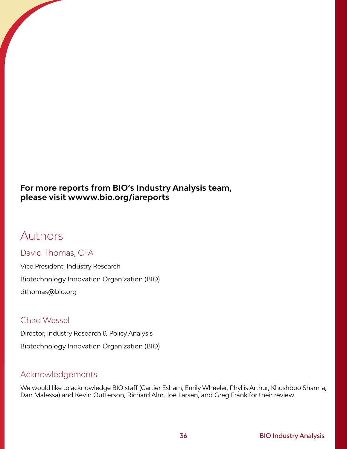#### **For more reports from BIO's Industry Analysis team, please visit wwww.bio.org/iareports**

## Authors

#### David Thomas, CFA

Vice President, Industry Research Biotechnology Innovation Organization (BIO) dthomas@bio.org

#### Chad Wessel

Director, Industry Research & Policy Analysis Biotechnology Innovation Organization (BIO)

#### Acknowledgements

We would like to acknowledge BIO staff (Cartier Esham, Emily Wheeler, Phyllis Arthur, Khushboo Sharma, Dan Malessa) and Kevin Outterson, Richard Alm, Joe Larsen, and Greg Frank for their review.